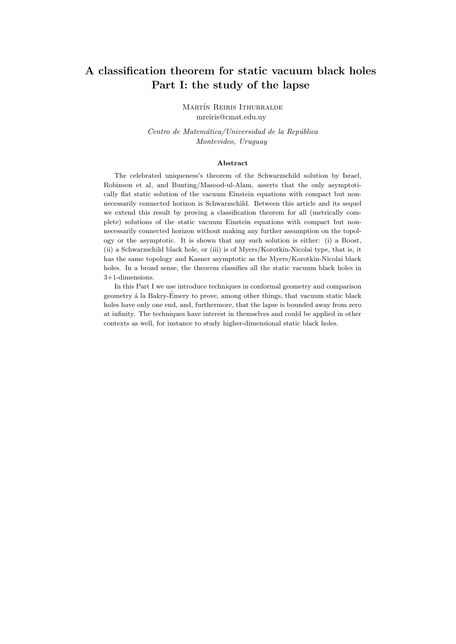# A classification theorem for static vacuum black holes Part I: the study of the lapse

MARTÍN REIRIS ITHURRALDE mreiris@cmat.edu.uy

Centro de Matemática/Universidad de la República Montevideo, Uruguay

### Abstract

The celebrated uniqueness's theorem of the Schwarzschild solution by Israel, Robinson et al, and Bunting/Masood-ul-Alam, asserts that the only asymptotically flat static solution of the vacuum Einstein equations with compact but nonnecessarily connected horizon is Schwarzschild. Between this article and its sequel we extend this result by proving a classification theorem for all (metrically complete) solutions of the static vacuum Einstein equations with compact but nonnecessarily connected horizon without making any further assumption on the topology or the asymptotic. It is shown that any such solution is either: (i) a Boost, (ii) a Schwarzschild black hole, or (iii) is of Myers/Korotkin-Nicolai type, that is, it has the same topology and Kasner asymptotic as the Myers/Korotkin-Nicolai black holes. In a broad sense, the theorem classifies all the static vacuum black holes in 3+1-dimensions.

In this Part I we use introduce techniques in conformal geometry and comparison geometry á la Bakry-Émery to prove, among other things, that vacuum static black holes have only one end, and, furthermore, that the lapse is bounded away from zero at infinity. The techniques have interest in themselves and could be applied in other contexts as well, for instance to study higher-dimensional static black holes.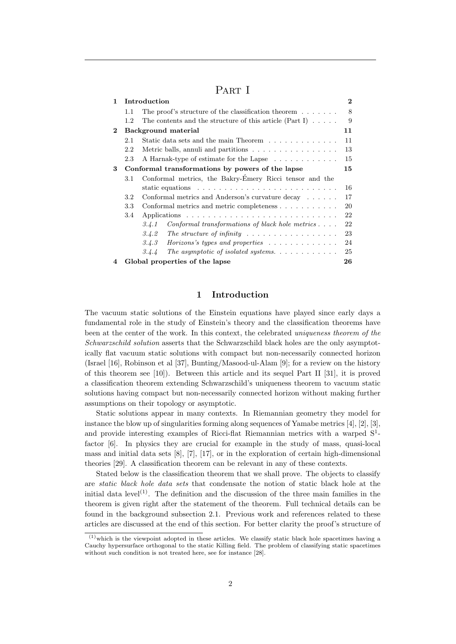# PART I

| 1            |                     | Introduction                                                            | $\mathbf{2}$ |
|--------------|---------------------|-------------------------------------------------------------------------|--------------|
|              | 1.1                 | The proof's structure of the classification theorem $\dots$ .           | 8            |
|              | 1.2                 | The contents and the structure of this article (Part I) $\dots$ .       | 9            |
| $\mathbf{2}$ | Background material |                                                                         | 11           |
|              | 2.1                 | Static data sets and the main Theorem                                   | 11           |
|              | 2.2                 | Metric balls, annuli and partitions $\ldots$ ,                          | 13           |
|              | 2.3                 | A Harnak-type of estimate for the Lapse                                 | 15           |
| 3            |                     | Conformal transformations by powers of the lapse                        | 15           |
|              | 3.1                 | Conformal metrics, the Bakry-Émery Ricci tensor and the                 |              |
|              |                     |                                                                         | 16           |
|              | 3.2 <sub>2</sub>    | Conformal metrics and Anderson's curvature decay                        | 17           |
|              | 3.3                 | Conformal metrics and metric completeness                               | 20           |
|              | 3.4                 |                                                                         | 22           |
|              |                     | Conformal transformations of black hole metrics $\dots$ .<br>3.4.1      | 22           |
|              |                     | The structure of infinity $\ldots \ldots \ldots \ldots \ldots$<br>3.4.2 | 23           |
|              |                     | 3.4.3                                                                   | 24           |
|              |                     | The asymptotic of isolated systems. $\ldots$<br>3.4.4                   | 25           |
| 4            |                     | Global properties of the lapse                                          | 26           |

### 1 Introduction

The vacuum static solutions of the Einstein equations have played since early days a fundamental role in the study of Einstein's theory and the classification theorems have been at the center of the work. In this context, the celebrated uniqueness theorem of the Schwarzschild solution asserts that the Schwarzschild black holes are the only asymptotically flat vacuum static solutions with compact but non-necessarily connected horizon (Israel [16], Robinson et al [37], Bunting/Masood-ul-Alam [9]; for a review on the history of this theorem see  $[10]$ . Between this article and its sequel Part II  $[31]$ , it is proved a classification theorem extending Schwarzschild's uniqueness theorem to vacuum static solutions having compact but non-necessarily connected horizon without making further assumptions on their topology or asymptotic.

Static solutions appear in many contexts. In Riemannian geometry they model for instance the blow up of singularities forming along sequences of Yamabe metrics  $[4]$ ,  $[2]$ ,  $[3]$ , and provide interesting examples of Ricci-flat Riemannian metrics with a warped  $S<sup>1</sup>$ factor [6]. In physics they are crucial for example in the study of mass, quasi-local mass and initial data sets  $[8]$ ,  $[7]$ ,  $[17]$ , or in the exploration of certain high-dimensional theories [29]. A classification theorem can be relevant in any of these contexts.

Stated below is the classification theorem that we shall prove. The objects to classify are static black hole data sets that condensate the notion of static black hole at the initial data level<sup>(1)</sup>. The definition and the discussion of the three main families in the theorem is given right after the statement of the theorem. Full technical details can be found in the background subsection 2.1. Previous work and references related to these articles are discussed at the end of this section. For better clarity the proof's structure of

 $(1)$  which is the viewpoint adopted in these articles. We classify static black hole spacetimes having a Cauchy hypersurface orthogonal to the static Killing field. The problem of classifying static spacetimes without such condition is not treated here, see for instance [28].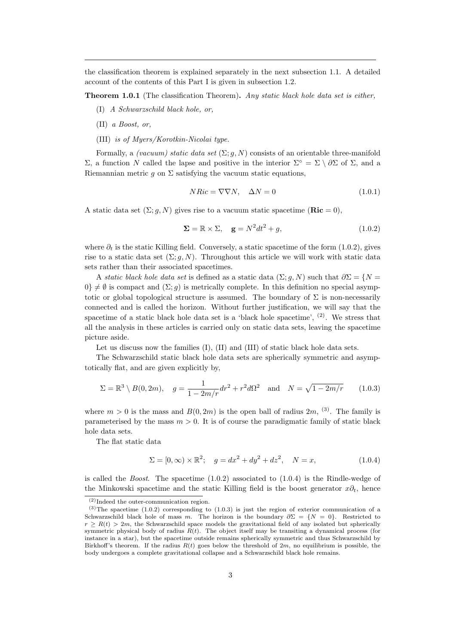the classification theorem is explained separately in the next subsection 1.1. A detailed account of the contents of this Part I is given in subsection 1.2.

Theorem 1.0.1 (The classification Theorem). Any static black hole data set is either,

- (I) A Schwarzschild black hole, or,
- (II) a Boost, or,
- (III) is of Myers/Korotkin-Nicolai type.

Formally, a *(vacuum) static data set*  $(\Sigma; q, N)$  consists of an orientable three-manifold Σ, a function N called the lapse and positive in the interior  $\Sigma$ ° = Σ \ ∂Σ of Σ, and a Riemannian metric q on  $\Sigma$  satisfying the vacuum static equations,

$$
NRic = \nabla \nabla N, \quad \Delta N = 0 \tag{1.0.1}
$$

A static data set  $(\Sigma; g, N)$  gives rise to a vacuum static spacetime  $(\text{Ric} = 0)$ ,

$$
\Sigma = \mathbb{R} \times \Sigma, \quad \mathbf{g} = N^2 dt^2 + g,\tag{1.0.2}
$$

where  $\partial_t$  is the static Killing field. Conversely, a static spacetime of the form (1.0.2), gives rise to a static data set  $(\Sigma; q, N)$ . Throughout this article we will work with static data sets rather than their associated spacetimes.

A static black hole data set is defined as a static data  $(\Sigma; g, N)$  such that  $\partial \Sigma = \{N = \mathbb{R}^N : S \in \mathbb{R}^N\}$ 0} 6= ∅ is compact and (Σ; g) is metrically complete. In this definition no special asymptotic or global topological structure is assumed. The boundary of  $\Sigma$  is non-necessarily connected and is called the horizon. Without further justification, we will say that the spacetime of a static black hole data set is a 'black hole spacetime',  $(2)$ . We stress that all the analysis in these articles is carried only on static data sets, leaving the spacetime picture aside.

Let us discuss now the families (I), (II) and (III) of static black hole data sets.

The Schwarzschild static black hole data sets are spherically symmetric and asymptotically flat, and are given explicitly by,

$$
\Sigma = \mathbb{R}^3 \setminus B(0, 2m), \quad g = \frac{1}{1 - 2m/r} dr^2 + r^2 d\Omega^2 \quad \text{and} \quad N = \sqrt{1 - 2m/r} \tag{1.0.3}
$$

where  $m > 0$  is the mass and  $B(0, 2m)$  is the open ball of radius  $2m$ , <sup>(3)</sup>. The family is parameterised by the mass  $m > 0$ . It is of course the paradigmatic family of static black hole data sets.

The flat static data

$$
\Sigma = [0, \infty) \times \mathbb{R}^2; \quad g = dx^2 + dy^2 + dz^2, \quad N = x,
$$
\n(1.0.4)

is called the *Boost*. The spacetime  $(1.0.2)$  associated to  $(1.0.4)$  is the Rindle-wedge of the Minkowski spacetime and the static Killing field is the boost generator  $x\partial_t$ , hence

 $(2)$ Indeed the outer-communication region.

 $(3)$ The spacetime (1.0.2) corresponding to (1.0.3) is just the region of exterior communication of a Schwarzschild black hole of mass m. The horizon is the boundary  $\partial \Sigma = \{N = 0\}$ . Restricted to  $r > R(t) > 2m$ , the Schwarzschild space models the gravitational field of any isolated but spherically symmetric physical body of radius  $R(t)$ . The object itself may be transiting a dynamical process (for instance in a star), but the spacetime outside remains spherically symmetric and thus Schwarzschild by Birkhoff's theorem. If the radius  $R(t)$  goes below the threshold of  $2m$ , no equilibrium is possible, the body undergoes a complete gravitational collapse and a Schwarzschild black hole remains.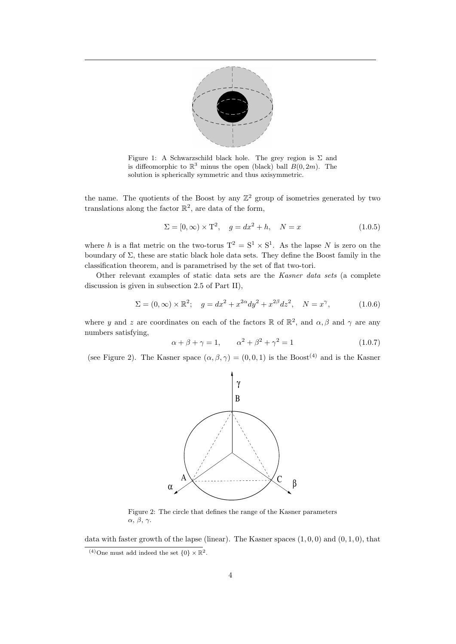

Figure 1: A Schwarzschild black hole. The grey region is  $\Sigma$  and is diffeomorphic to  $\mathbb{R}^3$  minus the open (black) ball  $B(0, 2m)$ . The solution is spherically symmetric and thus axisymmetric.

the name. The quotients of the Boost by any  $\mathbb{Z}^2$  group of isometries generated by two translations along the factor  $\mathbb{R}^2$ , are data of the form,

$$
\Sigma = [0, \infty) \times T^2, \quad g = dx^2 + h, \quad N = x \tag{1.0.5}
$$

where h is a flat metric on the two-torus  $T^2 = S^1 \times S^1$ . As the lapse N is zero on the boundary of  $\Sigma$ , these are static black hole data sets. They define the Boost family in the classification theorem, and is parametrised by the set of flat two-tori.

Other relevant examples of static data sets are the Kasner data sets (a complete discussion is given in subsection 2.5 of Part II),

$$
\Sigma = (0, \infty) \times \mathbb{R}^2; \quad g = dx^2 + x^{2\alpha} dy^2 + x^{2\beta} dz^2, \quad N = x^{\gamma}, \tag{1.0.6}
$$

where y and z are coordinates on each of the factors  $\mathbb{R}$  of  $\mathbb{R}^2$ , and  $\alpha$ ,  $\beta$  and  $\gamma$  are any numbers satisfying,

$$
\alpha + \beta + \gamma = 1, \qquad \alpha^2 + \beta^2 + \gamma^2 = 1 \tag{1.0.7}
$$

(see Figure 2). The Kasner space  $(\alpha, \beta, \gamma) = (0, 0, 1)$  is the Boost<sup>(4)</sup> and is the Kasner



Figure 2: The circle that defines the range of the Kasner parameters α, β, γ.

data with faster growth of the lapse (linear). The Kasner spaces  $(1, 0, 0)$  and  $(0, 1, 0)$ , that

<sup>&</sup>lt;sup>(4)</sup>One must add indeed the set  $\{0\} \times \mathbb{R}^2$ .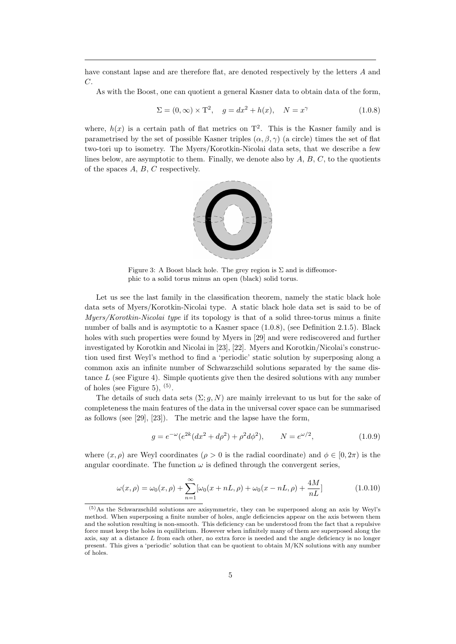have constant lapse and are therefore flat, are denoted respectively by the letters A and  $C_{\cdot}$ 

As with the Boost, one can quotient a general Kasner data to obtain data of the form,

$$
\Sigma = (0, \infty) \times T^2, \quad g = dx^2 + h(x), \quad N = x^{\gamma}
$$
\n(1.0.8)

where,  $h(x)$  is a certain path of flat metrics on  $T^2$ . This is the Kasner family and is parametrised by the set of possible Kasner triples  $(\alpha, \beta, \gamma)$  (a circle) times the set of flat two-tori up to isometry. The Myers/Korotkin-Nicolai data sets, that we describe a few lines below, are asymptotic to them. Finally, we denote also by  $A, B, C$ , to the quotients of the spaces A, B, C respectively.



Figure 3: A Boost black hole. The grey region is  $\Sigma$  and is diffeomorphic to a solid torus minus an open (black) solid torus.

Let us see the last family in the classification theorem, namely the static black hole data sets of Myers/Korotkin-Nicolai type. A static black hole data set is said to be of Myers/Korotkin-Nicolai type if its topology is that of a solid three-torus minus a finite number of balls and is asymptotic to a Kasner space (1.0.8), (see Definition 2.1.5). Black holes with such properties were found by Myers in [29] and were rediscovered and further investigated by Korotkin and Nicolai in [23], [22]. Myers and Korotkin/Nicolai's construction used first Weyl's method to find a 'periodic' static solution by superposing along a common axis an infinite number of Schwarzschild solutions separated by the same distance  $L$  (see Figure 4). Simple quotients give then the desired solutions with any number of holes (see Figure 5),  $(5)$ .

The details of such data sets  $(\Sigma; g, N)$  are mainly irrelevant to us but for the sake of completeness the main features of the data in the universal cover space can be summarised as follows (see [29], [23]). The metric and the lapse have the form,

$$
g = e^{-\omega} (e^{2k} (dx^2 + d\rho^2) + \rho^2 d\phi^2), \qquad N = e^{\omega/2}, \tag{1.0.9}
$$

where  $(x, \rho)$  are Weyl coordinates  $(\rho > 0$  is the radial coordinate) and  $\phi \in [0, 2\pi)$  is the angular coordinate. The function  $\omega$  is defined through the convergent series,

$$
\omega(x,\rho) = \omega_0(x,\rho) + \sum_{n=1}^{\infty} [\omega_0(x+nL,\rho) + \omega_0(x-nL,\rho) + \frac{4M}{nL}]
$$
\n(1.0.10)

<sup>(5)</sup>As the Schwarzschild solutions are axisymmetric, they can be superposed along an axis by Weyl's method. When superposing a finite number of holes, angle deficiencies appear on the axis between them and the solution resulting is non-smooth. This deficiency can be understood from the fact that a repulsive force must keep the holes in equilibrium. However when infinitely many of them are superposed along the axis, say at a distance  $L$  from each other, no extra force is needed and the angle deficiency is no longer present. This gives a 'periodic' solution that can be quotient to obtain M/KN solutions with any number of holes.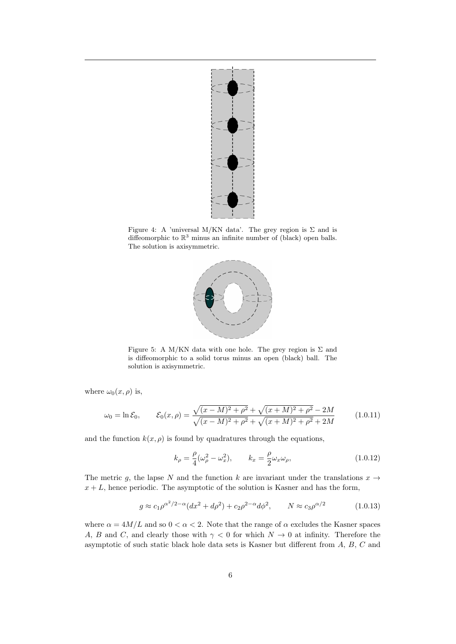

Figure 4: A 'universal M/KN data'. The grey region is  $\Sigma$  and is diffeomorphic to  $\mathbb{R}^3$  minus an infinite number of (black) open balls. The solution is axisymmetric.



Figure 5: A M/KN data with one hole. The grey region is  $\Sigma$  and is diffeomorphic to a solid torus minus an open (black) ball. The solution is axisymmetric.

where  $\omega_0(x,\rho)$  is,

$$
\omega_0 = \ln \mathcal{E}_0, \qquad \mathcal{E}_0(x,\rho) = \frac{\sqrt{(x-M)^2 + \rho^2} + \sqrt{(x+M)^2 + \rho^2} - 2M}{\sqrt{(x-M)^2 + \rho^2} + \sqrt{(x+M)^2 + \rho^2} + 2M}
$$
(1.0.11)

and the function  $k(x, \rho)$  is found by quadratures through the equations,

$$
k_{\rho} = \frac{\rho}{4}(\omega_{\rho}^2 - \omega_x^2), \qquad k_x = \frac{\rho}{2}\omega_x\omega_{\rho}, \qquad (1.0.12)
$$

The metric g, the lapse N and the function k are invariant under the translations  $x \rightarrow$  $x + L$ , hence periodic. The asymptotic of the solution is Kasner and has the form,

$$
g \approx c_1 \rho^{\alpha^2/2 - \alpha} (dx^2 + d\rho^2) + c_2 \rho^{2 - \alpha} d\rho^2, \qquad N \approx c_3 \rho^{\alpha/2}
$$
 (1.0.13)

where  $\alpha = 4M/L$  and so  $0 < \alpha < 2$ . Note that the range of  $\alpha$  excludes the Kasner spaces A, B and C, and clearly those with  $\gamma < 0$  for which  $N \to 0$  at infinity. Therefore the asymptotic of such static black hole data sets is Kasner but different from A, B, C and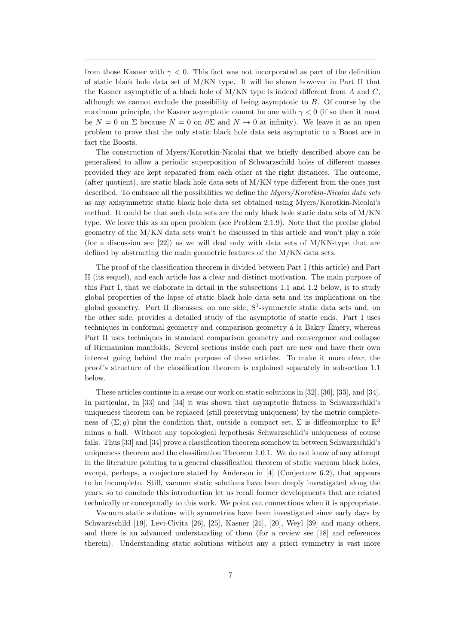from those Kasner with  $\gamma < 0$ . This fact was not incorporated as part of the definition of static black hole data set of M/KN type. It will be shown however in Part II that the Kasner asymptotic of a black hole of  $M/KN$  type is indeed different from A and  $C$ , although we cannot exclude the possibility of being asymptotic to B. Of course by the maximum principle, the Kasner asymptotic cannot be one with  $\gamma < 0$  (if so then it must be  $N = 0$  on  $\Sigma$  because  $N = 0$  on  $\partial \Sigma$  and  $N \to 0$  at infinity). We leave it as an open problem to prove that the only static black hole data sets asymptotic to a Boost are in fact the Boosts.

The construction of Myers/Korotkin-Nicolai that we briefly described above can be generalised to allow a periodic superposition of Schwarzschild holes of different masses provided they are kept separated from each other at the right distances. The outcome, (after quotient), are static black hole data sets of  $M/KN$  type different from the ones just described. To embrace all the possibilities we define the *Myers/Korotkin-Nicolai data sets* as any axisymmetric static black hole data set obtained using Myers/Korotkin-Nicolai's method. It could be that such data sets are the only black hole static data sets of M/KN type. We leave this as an open problem (see Problem 2.1.9). Note that the precise global geometry of the M/KN data sets won't be discussed in this article and won't play a role (for a discussion see  $[22]$ ) as we will deal only with data sets of M/KN-type that are defined by abstracting the main geometric features of the  $M/KN$  data sets.

The proof of the classification theorem is divided between Part I (this article) and Part II (its sequel), and each article has a clear and distinct motivation. The main purpose of this Part I, that we elaborate in detail in the subsections 1.1 and 1.2 below, is to study global properties of the lapse of static black hole data sets and its implications on the global geometry. Part II discusses, on one side, S<sup>1</sup> -symmetric static data sets and, on the other side, provides a detailed study of the asymptotic of static ends. Part I uses techniques in conformal geometry and comparison geometry  $\acute{a}$  la Bakry Emery, whereas Part II uses techniques in standard comparison geometry and convergence and collapse of Riemannian manifolds. Several sections inside each part are new and have their own interest going behind the main purpose of these articles. To make it more clear, the proof's structure of the classification theorem is explained separately in subsection 1.1 below.

These articles continue in a sense our work on static solutions in [32], [36], [33], and [34]. In particular, in [33] and [34] it was shown that asymptotic flatness in Schwarzschild's uniqueness theorem can be replaced (still preserving uniqueness) by the metric completeness of  $(\Sigma; g)$  plus the condition that, outside a compact set,  $\Sigma$  is diffeomorphic to  $\mathbb{R}^3$ minus a ball. Without any topological hypothesis Schwarzschild's uniqueness of course fails. Thus [33] and [34] prove a classification theorem somehow in between Schwarzschild's uniqueness theorem and the classification Theorem 1.0.1. We do not know of any attempt in the literature pointing to a general classification theorem of static vacuum black holes, except, perhaps, a conjecture stated by Anderson in [4] (Conjecture 6.2), that appears to be incomplete. Still, vacuum static solutions have been deeply investigated along the years, so to conclude this introduction let us recall former developments that are related technically or conceptually to this work. We point out connections when it is appropriate.

Vacuum static solutions with symmetries have been investigated since early days by Schwarzschild [19], Levi-Civita [26], [25], Kasner [21], [20], Weyl [39] and many others, and there is an advanced understanding of them (for a review see [18] and references therein). Understanding static solutions without any a priori symmetry is vast more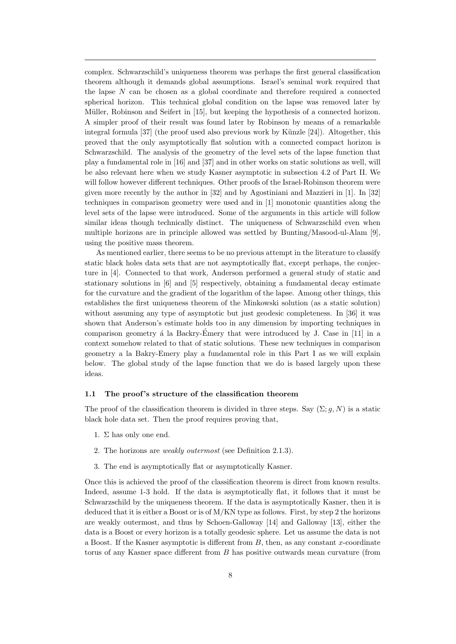complex. Schwarzschild's uniqueness theorem was perhaps the first general classification theorem although it demands global assumptions. Israel's seminal work required that the lapse  $N$  can be chosen as a global coordinate and therefore required a connected spherical horizon. This technical global condition on the lapse was removed later by Müller, Robinson and Seifert in [15], but keeping the hypothesis of a connected horizon. A simpler proof of their result was found later by Robinson by means of a remarkable integral formula  $[37]$  (the proof used also previous work by Künzle  $[24]$ ). Altogether, this proved that the only asymptotically flat solution with a connected compact horizon is Schwarzschild. The analysis of the geometry of the level sets of the lapse function that play a fundamental role in [16] and [37] and in other works on static solutions as well, will be also relevant here when we study Kasner asymptotic in subsection 4.2 of Part II. We will follow however different techniques. Other proofs of the Israel-Robinson theorem were given more recently by the author in [32] and by Agostiniani and Mazzieri in [1]. In [32] techniques in comparison geometry were used and in [1] monotonic quantities along the level sets of the lapse were introduced. Some of the arguments in this article will follow similar ideas though technically distinct. The uniqueness of Schwarzschild even when multiple horizons are in principle allowed was settled by Bunting/Masood-ul-Alam [9], using the positive mass theorem.

As mentioned earlier, there seems to be no previous attempt in the literature to classify static black holes data sets that are not asymptotically flat, except perhaps, the conjecture in [4]. Connected to that work, Anderson performed a general study of static and stationary solutions in [6] and [5] respectively, obtaining a fundamental decay estimate for the curvature and the gradient of the logarithm of the lapse. Among other things, this establishes the first uniqueness theorem of the Minkowski solution (as a static solution) without assuming any type of asymptotic but just geodesic completeness. In [36] it was shown that Anderson's estimate holds too in any dimension by importing techniques in comparison geometry  $\acute{a}$  la Backry-Émery that were introduced by J. Case in [11] in a context somehow related to that of static solutions. These new techniques in comparison geometry a la Bakry-Emery play a fundamental role in this Part I as we will explain below. The global study of the lapse function that we do is based largely upon these ideas.

### 1.1 The proof's structure of the classification theorem

The proof of the classification theorem is divided in three steps. Say  $(\Sigma; g, N)$  is a static black hole data set. Then the proof requires proving that,

- 1.  $\Sigma$  has only one end.
- 2. The horizons are weakly outermost (see Definition 2.1.3).
- 3. The end is asymptotically flat or asymptotically Kasner.

Once this is achieved the proof of the classification theorem is direct from known results. Indeed, assume 1-3 hold. If the data is asymptotically flat, it follows that it must be Schwarzschild by the uniqueness theorem. If the data is asymptotically Kasner, then it is deduced that it is either a Boost or is of M/KN type as follows. First, by step 2 the horizons are weakly outermost, and thus by Schoen-Galloway [14] and Galloway [13], either the data is a Boost or every horizon is a totally geodesic sphere. Let us assume the data is not a Boost. If the Kasner asymptotic is different from  $B$ , then, as any constant x-coordinate torus of any Kasner space different from B has positive outwards mean curvature (from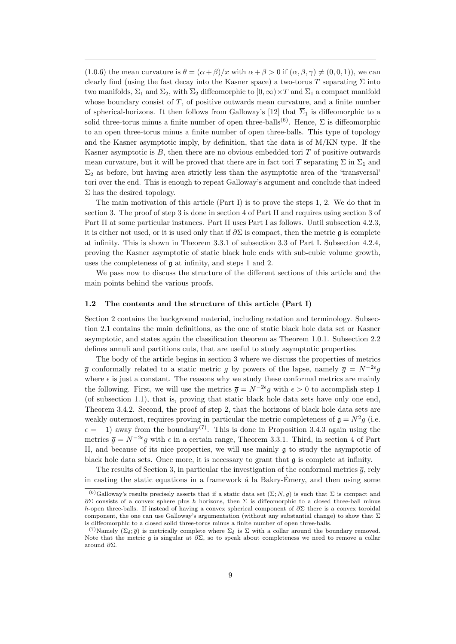(1.0.6) the mean curvature is  $\theta = (\alpha + \beta)/x$  with  $\alpha + \beta > 0$  if  $(\alpha, \beta, \gamma) \neq (0, 0, 1)$ , we can clearly find (using the fast decay into the Kasner space) a two-torus T separating  $\Sigma$  into two manifolds,  $\Sigma_1$  and  $\Sigma_2$ , with  $\overline{\Sigma}_2$  diffeomorphic to  $[0,\infty)\times T$  and  $\overline{\Sigma}_1$  a compact manifold whose boundary consist of T, of positive outwards mean curvature, and a finite number of spherical-horizons. It then follows from Galloway's [12] that  $\overline{\Sigma}_1$  is diffeomorphic to a solid three-torus minus a finite number of open three-balls<sup>(6)</sup>. Hence,  $\Sigma$  is diffeomorphic to an open three-torus minus a finite number of open three-balls. This type of topology and the Kasner asymptotic imply, by definition, that the data is of M/KN type. If the Kasner asymptotic is  $B$ , then there are no obvious embedded tori  $T$  of positive outwards mean curvature, but it will be proved that there are in fact tori T separating  $\Sigma$  in  $\Sigma_1$  and  $\Sigma_2$  as before, but having area strictly less than the asymptotic area of the 'transversal' tori over the end. This is enough to repeat Galloway's argument and conclude that indeed  $\Sigma$  has the desired topology.

The main motivation of this article (Part I) is to prove the steps 1, 2. We do that in section 3. The proof of step 3 is done in section 4 of Part II and requires using section 3 of Part II at some particular instances. Part II uses Part I as follows. Until subsection 4.2.3, it is either not used, or it is used only that if  $\partial \Sigma$  is compact, then the metric g is complete at infinity. This is shown in Theorem 3.3.1 of subsection 3.3 of Part I. Subsection 4.2.4, proving the Kasner asymptotic of static black hole ends with sub-cubic volume growth, uses the completeness of g at infinity, and steps 1 and 2.

We pass now to discuss the structure of the different sections of this article and the main points behind the various proofs.

#### 1.2 The contents and the structure of this article (Part I)

Section 2 contains the background material, including notation and terminology. Subsection 2.1 contains the main definitions, as the one of static black hole data set or Kasner asymptotic, and states again the classification theorem as Theorem 1.0.1. Subsection 2.2 defines annuli and partitions cuts, that are useful to study asymptotic properties.

The body of the article begins in section 3 where we discuss the properties of metrics  $\bar{g}$  conformally related to a static metric g by powers of the lapse, namely  $\bar{g} = N^{-2\epsilon}g$ where  $\epsilon$  is just a constant. The reasons why we study these conformal metrics are mainly the following. First, we will use the metrics  $\bar{g} = N^{-2\epsilon}g$  with  $\epsilon > 0$  to accomplish step 1 (of subsection 1.1), that is, proving that static black hole data sets have only one end, Theorem 3.4.2. Second, the proof of step 2, that the horizons of black hole data sets are weakly outermost, requires proving in particular the metric completeness of  $\mathfrak{g} = N^2 g$  (i.e.  $\epsilon = -1$ ) away from the boundary<sup>(7)</sup>. This is done in Proposition 3.4.3 again using the metrics  $\bar{g} = N^{-2\epsilon}g$  with  $\epsilon$  in a certain range, Theorem 3.3.1. Third, in section 4 of Part II, and because of its nice properties, we will use mainly  $\mathfrak g$  to study the asymptotic of black hole data sets. Once more, it is necessary to grant that  $\mathfrak g$  is complete at infinity.

The results of Section 3, in particular the investigation of the conformal metrics  $\overline{q}$ , rely in casting the static equations in a framework  $\acute{a}$  la Bakry-Emery, and then using some

<sup>&</sup>lt;sup>(6)</sup>Galloway's results precisely asserts that if a static data set  $(\Sigma; N, g)$  is such that  $\Sigma$  is compact and  $\partial \Sigma$  consists of a convex sphere plus h horizons, then Σ is diffeomorphic to a closed three-ball minus h-open three-balls. If instead of having a convex spherical component of  $\partial \Sigma$  there is a convex toroidal component, the one can use Galloway's argumentation (without any substantial change) to show that  $\Sigma$ is diffeomorphic to a closed solid three-torus minus a finite number of open three-balls.

<sup>(7)</sup>Namely  $(\Sigma_{\delta}, \bar{g})$  is metrically complete where  $\Sigma_{\delta}$  is  $\Sigma$  with a collar around the boundary removed. Note that the metric  $\mathfrak g$  is singular at  $\partial \Sigma$ , so to speak about completeness we need to remove a collar around ∂Σ.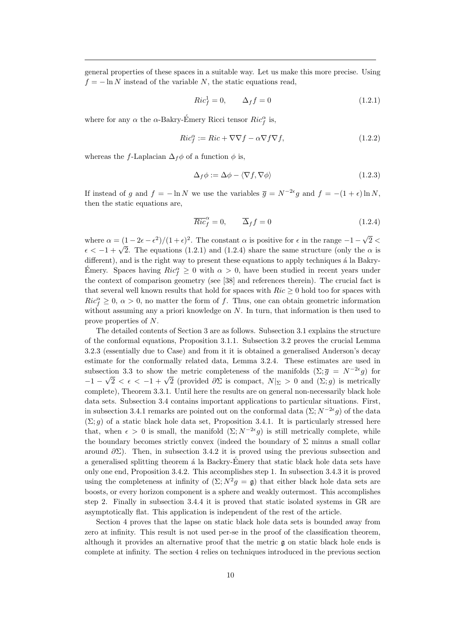general properties of these spaces in a suitable way. Let us make this more precise. Using  $f = -\ln N$  instead of the variable N, the static equations read,

$$
Ric_f^1 = 0, \qquad \Delta_f f = 0 \tag{1.2.1}
$$

where for any  $\alpha$  the  $\alpha$ -Bakry-Émery Ricci tensor  $Ric^{\alpha}_f$  is,

$$
Ric_f^{\alpha} := Ric + \nabla \nabla f - \alpha \nabla f \nabla f, \qquad (1.2.2)
$$

whereas the f-Laplacian  $\Delta_f \phi$  of a function  $\phi$  is,

$$
\Delta_f \phi := \Delta \phi - \langle \nabla f, \nabla \phi \rangle \tag{1.2.3}
$$

If instead of g and  $f = -\ln N$  we use the variables  $\bar{g} = N^{-2\epsilon}g$  and  $f = -(1+\epsilon)\ln N$ , then the static equations are,

$$
\overline{Ric}_f^{\alpha} = 0, \qquad \overline{\Delta}_f f = 0 \tag{1.2.4}
$$

where  $\alpha = (1 - 2\epsilon - \epsilon^2)/(1 + \epsilon)^2$ . The constant  $\alpha$  is positive for  $\epsilon$  in the range -1 – √  $2 <$ where  $\alpha = (1 - 2\epsilon - \epsilon)/(\epsilon + \epsilon)$ . The constant  $\alpha$  is positive for  $\epsilon$  in the range  $-1 - \sqrt{2} < \epsilon < -1 + \sqrt{2}$ . The equations (1.2.1) and (1.2.4) share the same structure (only the  $\alpha$  is different), and is the right way to present these equations to apply techniques a la Bakry-Emery. Spaces having  $Ric_f^{\alpha} \geq 0$  with  $\alpha > 0$ , have been studied in recent years under the context of comparison geometry (see [38] and references therein). The crucial fact is that several well known results that hold for spaces with  $Ric \geq 0$  hold too for spaces with  $Ric_f^{\alpha} \geq 0, \alpha > 0$ , no matter the form of f. Thus, one can obtain geometric information without assuming any a priori knowledge on  $N$ . In turn, that information is then used to prove properties of N.

The detailed contents of Section 3 are as follows. Subsection 3.1 explains the structure of the conformal equations, Proposition 3.1.1. Subsection 3.2 proves the crucial Lemma 3.2.3 (essentially due to Case) and from it it is obtained a generalised Anderson's decay estimate for the conformally related data, Lemma 3.2.4. These estimates are used in subsection 3.3 to show the metric completeness of the manifolds  $(\Sigma; \overline{g}) = N^{-2\epsilon}g$  for  $-1 - \sqrt{2} < \epsilon < -1 + \sqrt{2}$  (provided ∂Σ is compact,  $N|_{\Sigma} > 0$  and  $(\Sigma; g)$  is metrically complete), Theorem 3.3.1. Until here the results are on general non-necessarily black hole data sets. Subsection 3.4 contains important applications to particular situations. First, in subsection 3.4.1 remarks are pointed out on the conformal data  $(\Sigma; N^{-2\epsilon}g)$  of the data  $(\Sigma; g)$  of a static black hole data set, Proposition 3.4.1. It is particularly stressed here that, when  $\epsilon > 0$  is small, the manifold  $(\Sigma; N^{-2\epsilon}g)$  is still metrically complete, while the boundary becomes strictly convex (indeed the boundary of  $\Sigma$  minus a small collar around  $\partial \Sigma$ ). Then, in subsection 3.4.2 it is proved using the previous subsection and a generalised splitting theorem a la Backry-Emery that static black hole data sets have only one end, Proposition 3.4.2. This accomplishes step 1. In subsection 3.4.3 it is proved using the completeness at infinity of  $(\Sigma; N^2 g = \mathfrak{g})$  that either black hole data sets are boosts, or every horizon component is a sphere and weakly outermost. This accomplishes step 2. Finally in subsection 3.4.4 it is proved that static isolated systems in GR are asymptotically flat. This application is independent of the rest of the article.

Section 4 proves that the lapse on static black hole data sets is bounded away from zero at infinity. This result is not used per-se in the proof of the classification theorem, although it provides an alternative proof that the metric g on static black hole ends is complete at infinity. The section 4 relies on techniques introduced in the previous section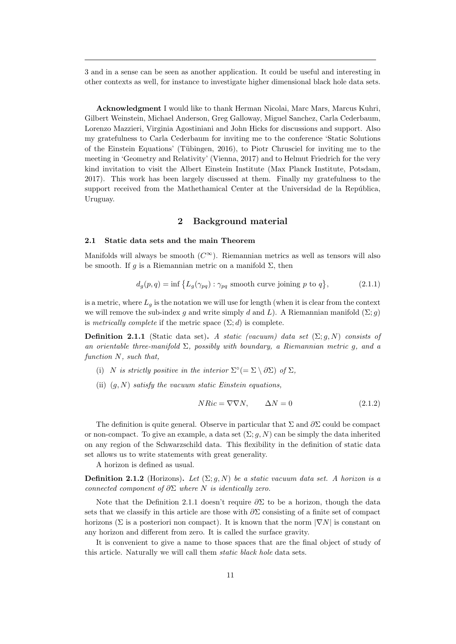3 and in a sense can be seen as another application. It could be useful and interesting in other contexts as well, for instance to investigate higher dimensional black hole data sets.

Acknowledgment I would like to thank Herman Nicolai, Marc Mars, Marcus Kuhri, Gilbert Weinstein, Michael Anderson, Greg Galloway, Miguel Sanchez, Carla Cederbaum, Lorenzo Mazzieri, Virginia Agostiniani and John Hicks for discussions and support. Also my gratefulness to Carla Cederbaum for inviting me to the conference 'Static Solutions of the Einstein Equations' (Tübingen, 2016), to Piotr Chrusciel for inviting me to the meeting in 'Geometry and Relativity' (Vienna, 2017) and to Helmut Friedrich for the very kind invitation to visit the Albert Einstein Institute (Max Planck Institute, Potsdam, 2017). This work has been largely discussed at them. Finally my gratefulness to the support received from the Mathethamical Center at the Universidad de la República, Uruguay.

### 2 Background material

### 2.1 Static data sets and the main Theorem

Manifolds will always be smooth  $(C^{\infty})$ . Riemannian metrics as well as tensors will also be smooth. If q is a Riemannian metric on a manifold  $\Sigma$ , then

$$
d_g(p,q) = \inf \left\{ L_g(\gamma_{pq}) : \gamma_{pq} \text{ smooth curve joining } p \text{ to } q \right\},\tag{2.1.1}
$$

is a metric, where  $L_q$  is the notation we will use for length (when it is clear from the context we will remove the sub-index g and write simply d and L). A Riemannian manifold  $(\Sigma; g)$ is metrically complete if the metric space  $(\Sigma; d)$  is complete.

**Definition 2.1.1** (Static data set). A static (vacuum) data set  $(\Sigma; g, N)$  consists of an orientable three-manifold  $\Sigma$ , possibly with boundary, a Riemannian metric g, and a function N, such that,

- (i) N is strictly positive in the interior  $\Sigma^{\circ}(=\Sigma \setminus \partial \Sigma)$  of  $\Sigma$ ,
- (ii)  $(q, N)$  satisfy the vacuum static Einstein equations,

$$
NRic = \nabla \nabla N, \qquad \Delta N = 0 \tag{2.1.2}
$$

The definition is quite general. Observe in particular that  $\Sigma$  and  $\partial \Sigma$  could be compact or non-compact. To give an example, a data set  $(\Sigma; g, N)$  can be simply the data inherited on any region of the Schwarzschild data. This flexibility in the definition of static data set allows us to write statements with great generality.

A horizon is defined as usual.

**Definition 2.1.2** (Horizons). Let  $(\Sigma; g, N)$  be a static vacuum data set. A horizon is a connected component of  $\partial \Sigma$  where N is identically zero.

Note that the Definition 2.1.1 doesn't require  $\partial \Sigma$  to be a horizon, though the data sets that we classify in this article are those with  $\partial \Sigma$  consisting of a finite set of compact horizons ( $\Sigma$  is a posteriori non compact). It is known that the norm  $|\nabla N|$  is constant on any horizon and different from zero. It is called the surface gravity.

It is convenient to give a name to those spaces that are the final object of study of this article. Naturally we will call them static black hole data sets.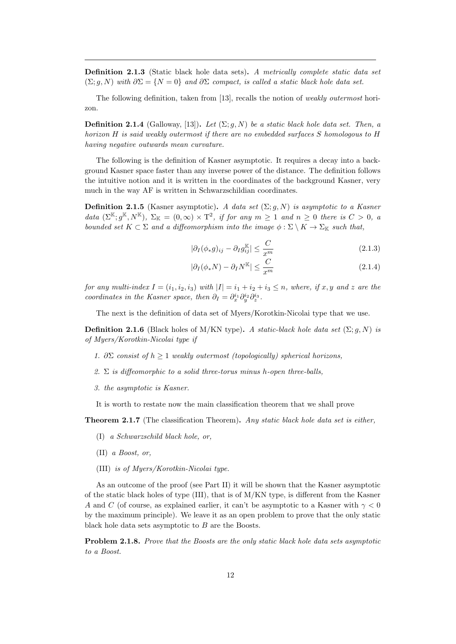Definition 2.1.3 (Static black hole data sets). A metrically complete static data set  $(\Sigma; g, N)$  with  $\partial \Sigma = \{N = 0\}$  and  $\partial \Sigma$  compact, is called a static black hole data set.

The following definition, taken from [13], recalls the notion of weakly outermost horizon.

**Definition 2.1.4** (Galloway, [13]). Let  $(\Sigma; g, N)$  be a static black hole data set. Then, a horizon H is said weakly outermost if there are no embedded surfaces S homologous to H having negative outwards mean curvature.

The following is the definition of Kasner asymptotic. It requires a decay into a background Kasner space faster than any inverse power of the distance. The definition follows the intuitive notion and it is written in the coordinates of the background Kasner, very much in the way AF is written in Schwarzschildian coordinates.

**Definition 2.1.5** (Kasner asymptotic). A data set  $(\Sigma; g, N)$  is asymptotic to a Kasner data  $(\Sigma^{\mathbb{K}}; g^{\mathbb{K}}, N^{\mathbb{K}}), \Sigma_{\mathbb{K}} = (0, \infty) \times T^2$ , if for any  $m \geq 1$  and  $n \geq 0$  there is  $C > 0$ , a bounded set  $K \subset \Sigma$  and a diffeomorphism into the image  $\phi : \Sigma \setminus K \to \Sigma_{\mathbb{K}}$  such that,

$$
|\partial_I(\phi_*g)_{ij} - \partial_I g_{ij}^{\mathbb{K}}| \le \frac{C}{x^m}
$$
\n(2.1.3)

$$
|\partial_I(\phi_* N) - \partial_I N^{\mathbb{K}}| \le \frac{C}{x^m} \tag{2.1.4}
$$

for any multi-index  $I = (i_1, i_2, i_3)$  with  $|I| = i_1 + i_2 + i_3 \leq n$ , where, if x, y and z are the coordinates in the Kasner space, then  $\partial_I = \partial_x^{i_1} \partial_y^{i_2} \partial_z^{i_3}$ .

The next is the definition of data set of Myers/Korotkin-Nicolai type that we use.

**Definition 2.1.6** (Black holes of M/KN type). A static-black hole data set  $(\Sigma; g, N)$  is of Myers/Korotkin-Nicolai type if

- 1.  $\partial \Sigma$  consist of  $h \geq 1$  weakly outermost (topologically) spherical horizons,
- 2.  $\Sigma$  is diffeomorphic to a solid three-torus minus h-open three-balls,
- 3. the asymptotic is Kasner.

It is worth to restate now the main classification theorem that we shall prove

**Theorem 2.1.7** (The classification Theorem). Any static black hole data set is either,

- (I) a Schwarzschild black hole, or,
- (II) a Boost, or,
- (III) is of Myers/Korotkin-Nicolai type.

As an outcome of the proof (see Part II) it will be shown that the Kasner asymptotic of the static black holes of type  $(III)$ , that is of  $M/KN$  type, is different from the Kasner A and C (of course, as explained earlier, it can't be asymptotic to a Kasner with  $\gamma < 0$ by the maximum principle). We leave it as an open problem to prove that the only static black hole data sets asymptotic to B are the Boosts.

Problem 2.1.8. Prove that the Boosts are the only static black hole data sets asymptotic to a Boost.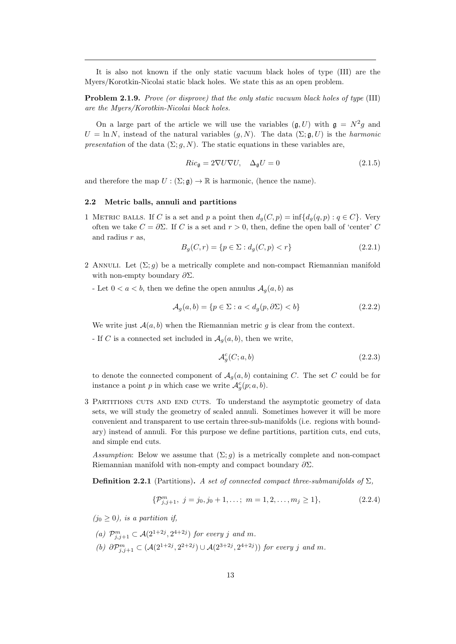It is also not known if the only static vacuum black holes of type (III) are the Myers/Korotkin-Nicolai static black holes. We state this as an open problem.

Problem 2.1.9. Prove (or disprove) that the only static vacuum black holes of type (III) are the Myers/Korotkin-Nicolai black holes.

On a large part of the article we will use the variables  $(\mathfrak{g}, U)$  with  $\mathfrak{g} = N^2 g$  and  $U = \ln N$ , instead of the natural variables  $(g, N)$ . The data  $(\Sigma; \mathfrak{g}, U)$  is the *harmonic* presentation of the data  $(\Sigma; g, N)$ . The static equations in these variables are,

$$
Ric_{\mathfrak{g}} = 2\nabla U \nabla U, \quad \Delta_{\mathfrak{g}} U = 0 \tag{2.1.5}
$$

and therefore the map  $U : (\Sigma; \mathfrak{g}) \to \mathbb{R}$  is harmonic, (hence the name).

### 2.2 Metric balls, annuli and partitions

1 METRIC BALLS. If C is a set and p a point then  $d_g(C, p) = \inf\{d_g(q, p) : q \in C\}$ . Very often we take  $C = \partial \Sigma$ . If C is a set and  $r > 0$ , then, define the open ball of 'center' C and radius  $r$  as,

$$
B_g(C, r) = \{ p \in \Sigma : d_g(C, p) < r \} \tag{2.2.1}
$$

- 2 ANNULI. Let  $(\Sigma; g)$  be a metrically complete and non-compact Riemannian manifold with non-empty boundary  $\partial \Sigma$ .
	- Let  $0 < a < b$ , then we define the open annulus  $A_q(a, b)$  as

$$
\mathcal{A}_g(a,b) = \{ p \in \Sigma : a < d_g(p, \partial \Sigma) < b \} \tag{2.2.2}
$$

We write just  $A(a, b)$  when the Riemannian metric g is clear from the context.

- If C is a connected set included in  $A_q(a, b)$ , then we write,

$$
\mathcal{A}_g^c(C; a, b) \tag{2.2.3}
$$

to denote the connected component of  $A_g(a, b)$  containing C. The set C could be for instance a point p in which case we write  $\mathcal{A}^c_g(p; a, b)$ .

3 Partitions cuts and end cuts. To understand the asymptotic geometry of data sets, we will study the geometry of scaled annuli. Sometimes however it will be more convenient and transparent to use certain three-sub-manifolds (i.e. regions with boundary) instead of annuli. For this purpose we define partitions, partition cuts, end cuts, and simple end cuts.

Assumption: Below we assume that  $(\Sigma; g)$  is a metrically complete and non-compact Riemannian manifold with non-empty and compact boundary  $\partial \Sigma$ .

**Definition 2.2.1** (Partitions). A set of connected compact three-submanifolds of  $\Sigma$ ,

$$
\{\mathcal{P}_{j,j+1}^m, j = j_0, j_0 + 1, \dots; m = 1, 2, \dots, m_j \ge 1\},\tag{2.2.4}
$$

 $(j_0 \geq 0)$ , is a partition if,

(a)  $\mathcal{P}_{j,j+1}^m \subset \mathcal{A}(2^{1+2j}, 2^{4+2j})$  for every j and m. (b)  $\partial \mathcal{P}_{j,j+1}^m \subset (\mathcal{A}(2^{1+2j}, 2^{2+2j}) \cup \mathcal{A}(2^{3+2j}, 2^{4+2j}))$  for every j and m.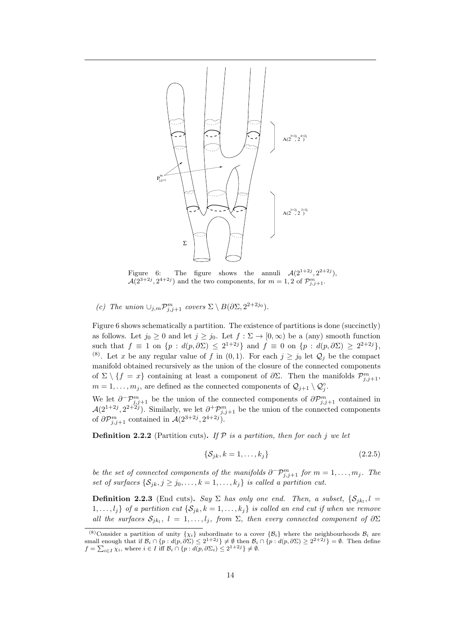

Figure 6: The figure shows the annuli  $\mathcal{A}(2^{1+2j}, 2^{2+2j})$ ,  $\mathcal{A}(2^{3+2j}, 2^{4+2j})$  and the two components, for  $m=1,2$  of  $\mathcal{P}_{j,j+1}^m$ .

(c) The union  $\cup_{j,m} \mathcal{P}_{j,j+1}^m$  covers  $\Sigma \setminus B(\partial \Sigma, 2^{2+2j_0})$ .

Figure 6 shows schematically a partition. The existence of partitions is done (succinctly) as follows. Let  $j_0 \geq 0$  and let  $j \geq j_0$ . Let  $f : \Sigma \to [0, \infty)$  be a (any) smooth function such that  $f \equiv 1$  on  $\{p : d(p, \partial \Sigma) \leq 2^{1+2j}\}\$  and  $f \equiv 0$  on  $\{p : d(p, \partial \Sigma) \geq 2^{2+2j}\}\$ , (8). Let x be any regular value of f in  $(0, 1)$ . For each  $j \ge j_0$  let  $\mathcal{Q}_j$  be the compact manifold obtained recursively as the union of the closure of the connected components of  $\Sigma \setminus \{f = x\}$  containing at least a component of  $\partial \Sigma$ . Then the manifolds  $\mathcal{P}_{j,j+1}^m$ ,  $m = 1, \ldots, m_j$ , are defined as the connected components of  $\mathcal{Q}_{j+1} \setminus \mathcal{Q}_j^{\circ}$ .

We let  $\partial^{\neg} \mathcal{P}_{j,j+1}^m$  be the union of the connected components of  $\partial \mathcal{P}_{j,j+1}^m$  contained in  $\mathcal{A}(2^{1+2j}, 2^{2+2j})$ . Similarly, we let  $\partial^+\mathcal{P}^m_{j,j+1}$  be the union of the connected components of  $\partial \mathcal{P}_{j,j+1}^m$  contained in  $\mathcal{A}(2^{3+2j}, 2^{4+2j}).$ 

**Definition 2.2.2** (Partition cuts). If  $P$  is a partition, then for each j we let

$$
\{\mathcal{S}_{jk}, k = 1, \dots, k_j\} \tag{2.2.5}
$$

be the set of connected components of the manifolds  $\partial^-\mathcal{P}_{j,j+1}^m$  for  $m=1,\ldots,m_j$ . The set of surfaces  $\{S_{jk}, j \geq j_0, \ldots, k = 1, \ldots, k_j\}$  is called a partition cut.

**Definition 2.2.3** (End cuts). Say  $\Sigma$  has only one end. Then, a subset,  $\{S_{jk_l}, l =$  $1, \ldots, l_j$  of a partition cut  $\{S_{jk}, k = 1, \ldots, k_j\}$  is called an end cut if when we remove all the surfaces  $S_{jk_l}$ ,  $l = 1, \ldots, l_j$ , from  $\Sigma$ , then every connected component of  $\partial \Sigma$ 

<sup>&</sup>lt;sup>(8)</sup>Consider a partition of unity  $\{\chi_i\}$  subordinate to a cover  $\{\beta_i\}$  where the neighbourhoods  $\mathcal{B}_i$  are small enough that if  $\mathcal{B}_i \cap \{p : d(p, \partial \Sigma) \leq 2^{1+2j}\} \neq \emptyset$  then  $\mathcal{B}_i \cap \{p : d(p, \partial \Sigma) \geq 2^{2+2j}\} = \emptyset$ . Then define  $f = \sum_{i \in I} \chi_i$ , where  $i \in I$  iff  $\mathcal{B}_i \cap \{p : d(p, \partial \Sigma_i) \leq 2^{1+2j}\} \neq \emptyset$ .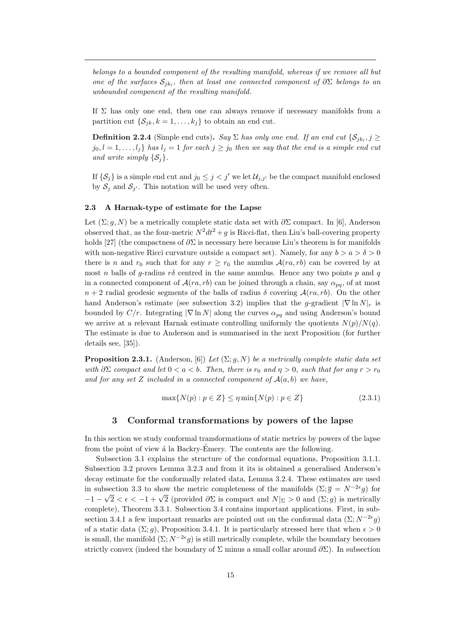belongs to a bounded component of the resulting manifold, whereas if we remove all but one of the surfaces  $S_{jk_l}$ , then at least one connected component of  $\partial \Sigma$  belongs to an unbounded component of the resulting manifold.

If  $\Sigma$  has only one end, then one can always remove if necessary manifolds from a partition cut  $\{\mathcal{S}_{jk}, k = 1, \ldots, k_j\}$  to obtain an end cut.

**Definition 2.2.4** (Simple end cuts). Say  $\Sigma$  has only one end. If an end cut  $\{\mathcal{S}_{jk_l}, j \geq 0\}$  $j_0, l = 1, \ldots, l_j$  has  $l_j = 1$  for each  $j \geq j_0$  then we say that the end is a simple end cut and write simply  $\{S_i\}.$ 

If  $\{\mathcal{S}_j\}$  is a simple end cut and  $j_0 \leq j < j'$  we let  $\mathcal{U}_{j,j'}$  be the compact manifold enclosed by  $S_j$  and  $S_{j'}$ . This notation will be used very often.

### 2.3 A Harnak-type of estimate for the Lapse

Let  $(\Sigma; q, N)$  be a metrically complete static data set with  $\partial \Sigma$  compact. In [6], Anderson observed that, as the four-metric  $N^2dt^2 + g$  is Ricci-flat, then Liu's ball-covering property holds [27] (the compactness of  $\partial \Sigma$  is necessary here because Liu's theorem is for manifolds with non-negative Ricci curvature outside a compact set). Namely, for any  $b > a > \delta > 0$ there is n and  $r_0$  such that for any  $r \ge r_0$  the annulus  $\mathcal{A}(ra, rb)$  can be covered by at most n balls of g-radius  $r\delta$  centred in the same annulus. Hence any two points p and q in a connected component of  $A(na, rb)$  can be joined through a chain, say  $\alpha_{na}$ , of at most  $n+2$  radial geodesic segments of the balls of radius  $\delta$  covering  $\mathcal{A}(ra, rb)$ . On the other hand Anderson's estimate (see subsection 3.2) implies that the g-gradient  $|\nabla \ln N|_r$  is bounded by  $C/r$ . Integrating  $|\nabla \ln N|$  along the curves  $\alpha_{pq}$  and using Anderson's bound we arrive at a relevant Harnak estimate controlling uniformly the quotients  $N(p)/N(q)$ . The estimate is due to Anderson and is summarised in the next Proposition (for further details see, [35]).

**Proposition 2.3.1.** (Anderson, [6]) Let  $(\Sigma; g, N)$  be a metrically complete static data set with  $\partial \Sigma$  compact and let  $0 < a < b$ . Then, there is  $r_0$  and  $\eta > 0$ , such that for any  $r > r_0$ and for any set Z included in a connected component of  $A(a, b)$  we have,

$$
\max\{N(p) : p \in Z\} \le \eta \min\{N(p) : p \in Z\}
$$
\n(2.3.1)

### 3 Conformal transformations by powers of the lapse

In this section we study conformal transformations of static metrics by powers of the lapse from the point of view  $\acute{a}$  la Backry-Émery. The contents are the following.

Subsection 3.1 explains the structure of the conformal equations, Proposition 3.1.1. Subsection 3.2 proves Lemma 3.2.3 and from it its is obtained a generalised Anderson's decay estimate for the conformally related data, Lemma 3.2.4. These estimates are used in subsection 3.3 to show the metric completeness of the manifolds  $(\Sigma; \overline{g}) = N^{-2\epsilon}g$  for  $-1 - \sqrt{2} < \epsilon < -1 + \sqrt{2}$  (provided ∂Σ is compact and  $N|_{Σ} > 0$  and  $(Σ; g)$  is metrically complete), Theorem 3.3.1. Subsection 3.4 contains important applications. First, in subsection 3.4.1 a few important remarks are pointed out on the conformal data  $(\Sigma; N^{-2\epsilon}g)$ of a static data  $(\Sigma; g)$ , Proposition 3.4.1. It is particularly stressed here that when  $\epsilon > 0$ is small, the manifold  $(\Sigma; N^{-2\epsilon}g)$  is still metrically complete, while the boundary becomes strictly convex (indeed the boundary of  $\Sigma$  minus a small collar around  $\partial \Sigma$ ). In subsection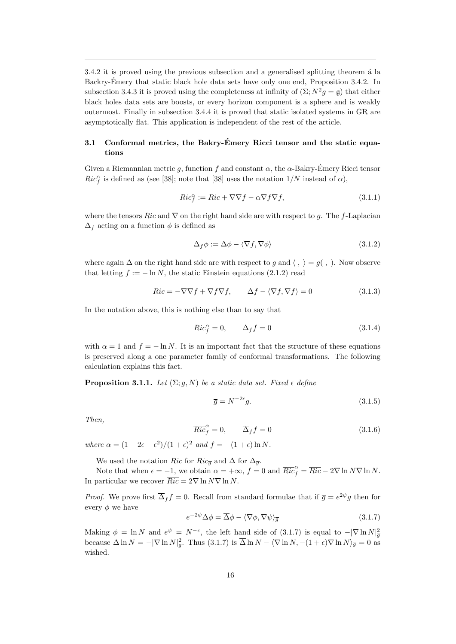$3.4.2$  it is proved using the previous subsection and a generalised splitting theorem  $\acute{a}$  la Backry-Emery that static black hole data sets have only one end, Proposition 3.4.2. In ´ subsection 3.4.3 it is proved using the completeness at infinity of  $(\Sigma; N^2 g = \mathfrak{g})$  that either black holes data sets are boosts, or every horizon component is a sphere and is weakly outermost. Finally in subsection 3.4.4 it is proved that static isolated systems in GR are asymptotically flat. This application is independent of the rest of the article.

## 3.1 Conformal metrics, the Bakry-Emery Ricci tensor and the static equa- ´ tions

Given a Riemannian metric g, function f and constant  $\alpha$ , the  $\alpha$ -Bakry-Émery Ricci tensor  $Ric_f^{\alpha}$  is defined as (see [38]; note that [38] uses the notation  $1/N$  instead of  $\alpha$ ),

$$
Ric_f^{\alpha} := Ric + \nabla \nabla f - \alpha \nabla f \nabla f, \qquad (3.1.1)
$$

where the tensors Ric and  $\nabla$  on the right hand side are with respect to g. The f-Laplacian  $\Delta_f$  acting on a function  $\phi$  is defined as

$$
\Delta_f \phi := \Delta \phi - \langle \nabla f, \nabla \phi \rangle \tag{3.1.2}
$$

where again  $\Delta$  on the right hand side are with respect to g and  $\langle , \rangle = g( , \rangle$ . Now observe that letting  $f := -\ln N$ , the static Einstein equations (2.1.2) read

$$
Ric = -\nabla \nabla f + \nabla f \nabla f, \qquad \Delta f - \langle \nabla f, \nabla f \rangle = 0 \tag{3.1.3}
$$

In the notation above, this is nothing else than to say that

$$
Ric_f^{\alpha} = 0, \qquad \Delta_f f = 0 \tag{3.1.4}
$$

with  $\alpha = 1$  and  $f = -\ln N$ . It is an important fact that the structure of these equations is preserved along a one parameter family of conformal transformations. The following calculation explains this fact.

**Proposition 3.1.1.** Let  $(\Sigma; g, N)$  be a static data set. Fixed  $\epsilon$  define

$$
\overline{g} = N^{-2\epsilon}g.\tag{3.1.5}
$$

Then,

$$
\overline{Ric}_f^{\alpha} = 0, \qquad \overline{\Delta}_f f = 0 \tag{3.1.6}
$$

where  $\alpha = (1 - 2\epsilon - \epsilon^2)/(1 + \epsilon)^2$  and  $f = -(1 + \epsilon) \ln N$ .

We used the notation  $\overline{Ric}$  for  $Ric_{\overline{g}}$  and  $\overline{\Delta}$  for  $\Delta_{\overline{g}}$ .

Note that when  $\epsilon = -1$ , we obtain  $\alpha = +\infty$ ,  $f = 0$  and  $\overline{Ric}_{f}^{\alpha} = \overline{Ric} - 2\nabla \ln N \nabla \ln N$ . In particular we recover  $\overline{Ric} = 2\nabla \ln N\nabla \ln N$ .

*Proof.* We prove first  $\overline{\Delta}_f f = 0$ . Recall from standard formulae that if  $\overline{g} = e^{2\psi}g$  then for every  $\phi$  we have

$$
e^{-2\psi}\Delta\phi = \overline{\Delta}\phi - \langle \nabla\phi, \nabla\psi \rangle_{\overline{g}} \tag{3.1.7}
$$

Making  $\phi = \ln N$  and  $e^{\psi} = N^{-\epsilon}$ , the left hand side of (3.1.7) is equal to  $-|\nabla \ln N|^2_{\overline{g}}$ because  $\Delta \ln N = -|\nabla \ln N|_g^2$ . Thus (3.1.7) is  $\overline{\Delta} \ln N - \langle \nabla \ln N, -(1 + \epsilon) \nabla \ln N \rangle_{\overline{g}} = 0$  as wished.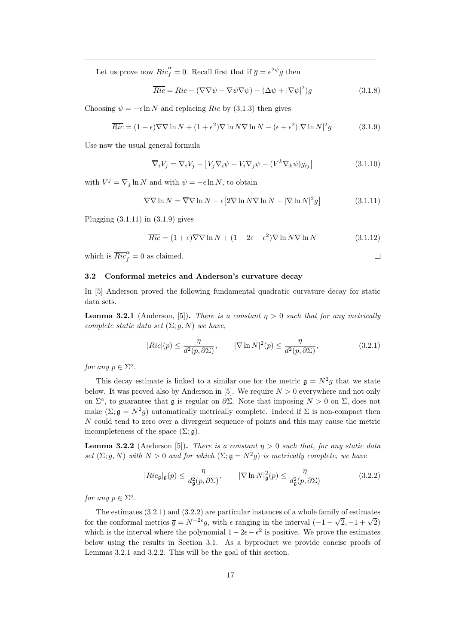Let us prove now  $\overline{Ric}_{f}^{\alpha} = 0$ . Recall first that if  $\overline{g} = e^{2\psi}g$  then

$$
\overline{Ric} = Ric - (\nabla \nabla \psi - \nabla \psi \nabla \psi) - (\Delta \psi + |\nabla \psi|^2)g \tag{3.1.8}
$$

Choosing  $\psi = -\epsilon \ln N$  and replacing Ric by (3.1.3) then gives

$$
\overline{Ric} = (1 + \epsilon)\nabla\nabla\ln N + (1 + \epsilon^2)\nabla\ln N\nabla\ln N - (\epsilon + \epsilon^2)|\nabla\ln N|^2 g \tag{3.1.9}
$$

Use now the usual general formula

$$
\overline{\nabla}_i V_j = \nabla_i V_j - \left[ V_j \nabla_i \psi + V_i \nabla_j \psi - (V^k \nabla_k \psi) g_{ij} \right]
$$
(3.1.10)

with  $V^j = \nabla_j \ln N$  and with  $\psi = -\epsilon \ln N$ , to obtain

$$
\nabla \nabla \ln N = \overline{\nabla} \nabla \ln N - \epsilon \left[ 2 \nabla \ln N \nabla \ln N - |\nabla \ln N|^2 g \right]
$$
(3.1.11)

Plugging  $(3.1.11)$  in  $(3.1.9)$  gives

$$
\overline{Ric} = (1 + \epsilon)\overline{\nabla}\nabla\ln N + (1 - 2\epsilon - \epsilon^2)\nabla\ln N\nabla\ln N \qquad (3.1.12)
$$

which is  $\overline{Ric}_{f}^{\alpha} = 0$  as claimed.

 $\Box$ 

### 3.2 Conformal metrics and Anderson's curvature decay

In [5] Anderson proved the following fundamental quadratic curvature decay for static data sets.

**Lemma 3.2.1** (Anderson, [5]). There is a constant  $\eta > 0$  such that for any metrically complete static data set  $(\Sigma; g, N)$  we have,

$$
|Ric|(p) \le \frac{\eta}{d^2(p, \partial \Sigma)}, \qquad |\nabla \ln N|^2(p) \le \frac{\eta}{d^2(p, \partial \Sigma)}, \tag{3.2.1}
$$

for any  $p \in \Sigma^{\circ}$ .

This decay estimate is linked to a similar one for the metric  $\mathfrak{g} = N^2 g$  that we state below. It was proved also by Anderson in [5]. We require  $N > 0$  everywhere and not only on  $\Sigma^{\circ}$ , to guarantee that g is regular on  $\partial \Sigma$ . Note that imposing  $N > 0$  on  $\Sigma$ , does not make  $(\Sigma; \mathfrak{g} = N^2 g)$  automatically metrically complete. Indeed if  $\Sigma$  is non-compact then N could tend to zero over a divergent sequence of points and this may cause the metric incompleteness of the space  $(\Sigma; \mathfrak{g})$ .

**Lemma 3.2.2** (Anderson [5]). There is a constant  $\eta > 0$  such that, for any static data set  $(\Sigma; g, N)$  with  $N > 0$  and for which  $(\Sigma; \mathfrak{g} = N^2 g)$  is metrically complete, we have

$$
|Ric_{\mathfrak{g}}|_{\mathfrak{g}}(p) \le \frac{\eta}{d_{\mathfrak{g}}^2(p, \partial \Sigma)}, \qquad |\nabla \ln N|_{\mathfrak{g}}^2(p) \le \frac{\eta}{d_{\mathfrak{g}}^2(p, \partial \Sigma)}
$$
(3.2.2)

for any  $p \in \Sigma^{\circ}$ .

The estimates  $(3.2.1)$  and  $(3.2.2)$  are particular instances of a whole family of estimates Fire estimates (5.2.1) and (5.2.2) are particular instances of a whole family of estimates<br>for the conformal metrics  $\bar{g} = N^{-2\epsilon}g$ , with  $\epsilon$  ranging in the interval  $(-1 - \sqrt{2}, -1 + \sqrt{2})$ which is the interval where the polynomial  $1 - 2\epsilon - \epsilon^2$  is positive. We prove the estimates below using the results in Section 3.1. As a byproduct we provide concise proofs of Lemmas 3.2.1 and 3.2.2. This will be the goal of this section.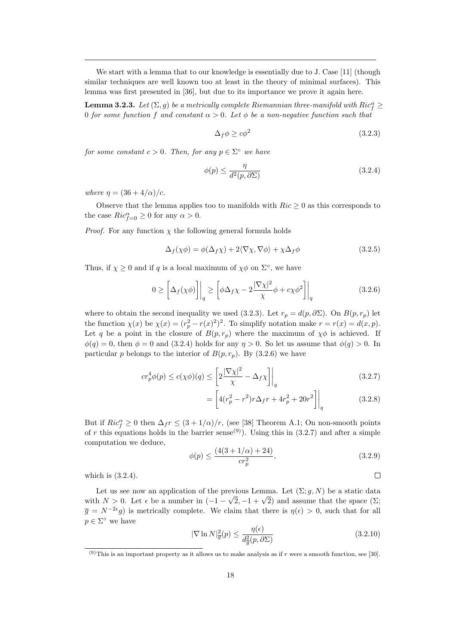We start with a lemma that to our knowledge is essentially due to J. Case [11] (though similar techniques are well known too at least in the theory of minimal surfaces). This lemma was first presented in [36], but due to its importance we prove it again here.

**Lemma 3.2.3.** Let  $(\Sigma, g)$  be a metrically complete Riemannian three-manifold with  $Ric_f^{\alpha} \geq$ 0 for some function f and constant  $\alpha > 0$ . Let  $\phi$  be a non-negative function such that

$$
\Delta_f \phi \ge c\phi^2 \tag{3.2.3}
$$

for some constant  $c > 0$ . Then, for any  $p \in \Sigma^{\circ}$  we have

$$
\phi(p) \le \frac{\eta}{d^2(p, \partial \Sigma)}\tag{3.2.4}
$$

where  $\eta = (36 + 4/\alpha)/c$ .

Observe that the lemma applies too to manifolds with  $Ric \geq 0$  as this corresponds to the case  $Ric_{f=0}^{\alpha} \geq 0$  for any  $\alpha > 0$ .

*Proof.* For any function  $\chi$  the following general formula holds

$$
\Delta_f(\chi\phi) = \phi(\Delta_f\chi) + 2\langle \nabla\chi, \nabla\phi \rangle + \chi\Delta_f\phi \tag{3.2.5}
$$

Thus, if  $\chi \geq 0$  and if q is a local maximum of  $\chi \phi$  on  $\Sigma^{\circ}$ , we have

$$
0 \ge \left[ \Delta_f(\chi \phi) \right]_q \ge \left[ \phi \Delta_f \chi - 2 \frac{|\nabla \chi|^2}{\chi} \phi + c \chi \phi^2 \right]_q \tag{3.2.6}
$$

where to obtain the second inequality we used (3.2.3). Let  $r_p = d(p, \partial \Sigma)$ . On  $B(p, r_p)$  let the function  $\chi(x)$  be  $\chi(x) = (r_p^2 - r(x)^2)^2$ . To simplify notation make  $r = r(x) = d(x, p)$ . Let q be a point in the closure of  $B(p, r_p)$  where the maximum of  $\chi \phi$  is achieved. If  $\phi(q) = 0$ , then  $\phi = 0$  and (3.2.4) holds for any  $\eta > 0$ . So let us assume that  $\phi(q) > 0$ . In particular p belongs to the interior of  $B(p, r_p)$ . By (3.2.6) we have

$$
cr_p^4\phi(p) \le c(\chi\phi)(q) \le \left[2\frac{|\nabla\chi|^2}{\chi} - \Delta_f\chi\right]\Big|_q\tag{3.2.7}
$$

$$
= \left[ 4(r_p^2 - r^2)r\Delta_f r + 4r_p^2 + 20r^2 \right]_q
$$
 (3.2.8)

But if  $Ric_f^{\alpha} \geq 0$  then  $\Delta_f r \leq (3 + 1/\alpha)/r$ , (see [38] Theorem A.1; On non-smooth points of r this equations holds in the barrier sense<sup>(9)</sup>). Using this in (3.2.7) and after a simple computation we deduce,

$$
\phi(p) \le \frac{(4(3+1/\alpha)+24)}{cr_p^2},\tag{3.2.9}
$$

 $\Box$ 

which is (3.2.4).

Let us see now an application of the previous Lemma. Let  $(\Sigma; g, N)$  be a static data Let us see now an application of the previous Lemma. Let  $(\angle$ ;  $g, N)$  be a static data<br>with  $N > 0$ . Let  $\epsilon$  be a number in  $(-1 - \sqrt{2}, -1 + \sqrt{2})$  and assume that the space  $(\Sigma)$ ;  $\overline{g} = N^{-2\epsilon}g$  is metrically complete. We claim that there is  $\eta(\epsilon) > 0$ , such that for all  $p \in \Sigma^{\circ}$  we have

$$
|\nabla \ln N|_{\overline{g}}^2(p) \le \frac{\eta(\epsilon)}{d_{\overline{g}}^2(p, \partial \Sigma)}\tag{3.2.10}
$$

 $(9)$ This is an important property as it allows us to make analysis as if r were a smooth function, see [30].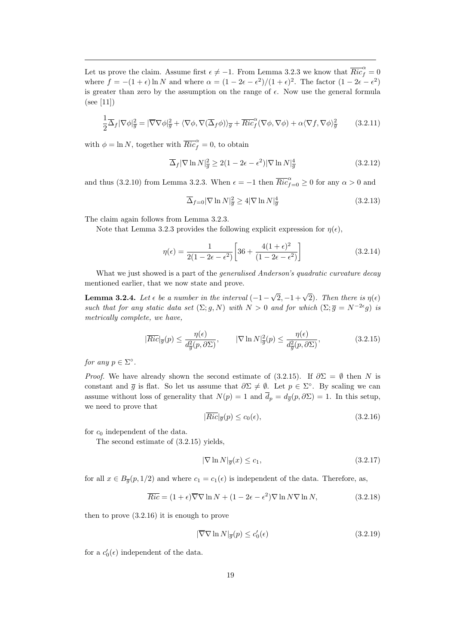Let us prove the claim. Assume first  $\epsilon \neq -1$ . From Lemma 3.2.3 we know that  $\overline{Ric}_{f}^{\alpha} = 0$ where  $f = -(1 + \epsilon) \ln N$  and where  $\alpha = (1 - 2\epsilon - \epsilon^2)/(1 + \epsilon)^2$ . The factor  $(1 - 2\epsilon - \epsilon^2)$ is greater than zero by the assumption on the range of  $\epsilon$ . Now use the general formula  $(see [11])$ 

$$
\frac{1}{2}\overline{\Delta}_f|\nabla\phi|_{\overline{g}}^2 = |\overline{\nabla}\nabla\phi|_{\overline{g}}^2 + \langle \nabla\phi, \nabla(\overline{\Delta}_f\phi) \rangle_{\overline{g}} + \overline{Ric}^{\alpha}_f(\nabla\phi, \nabla\phi) + \alpha \langle \nabla f, \nabla\phi \rangle_{\overline{g}}^2 \tag{3.2.11}
$$

with  $\phi = \ln N$ , together with  $\overline{Ric}_f^{\alpha} = 0$ , to obtain

$$
\overline{\Delta}_f |\nabla \ln N|_{\overline{g}}^2 \ge 2(1 - 2\epsilon - \epsilon^2) |\nabla \ln N|_{\overline{g}}^4 \tag{3.2.12}
$$

and thus (3.2.10) from Lemma 3.2.3. When  $\epsilon = -1$  then  $\overline{Ric}_{f=0}^{\alpha} \ge 0$  for any  $\alpha > 0$  and

$$
\overline{\Delta}_{f=0}|\nabla\ln N|_{\overline{g}}^2 \ge 4|\nabla\ln N|_{\overline{g}}^4\tag{3.2.13}
$$

The claim again follows from Lemma 3.2.3.

Note that Lemma 3.2.3 provides the following explicit expression for  $\eta(\epsilon)$ ,

$$
\eta(\epsilon) = \frac{1}{2(1 - 2\epsilon - \epsilon^2)} \left[ 36 + \frac{4(1 + \epsilon)^2}{(1 - 2\epsilon - \epsilon^2)} \right]
$$
\n(3.2.14)

What we just showed is a part of the *generalised Anderson's quadratic curvature decay* mentioned earlier, that we now state and prove.

**Lemma 3.2.4.** Let  $\epsilon$  be a number in the interval  $(-1 \sqrt{2}, -1 + \sqrt{2}$ . Then there is  $\eta(\epsilon)$ such that for any static data set  $(\Sigma; g, N)$  with  $N > 0$  and for which  $(\Sigma; \overline{g} = N^{-2\epsilon}g)$  is metrically complete, we have,

$$
|\overline{Ric}|_{\overline{g}}(p) \le \frac{\eta(\epsilon)}{d_{\overline{g}}^2(p,\partial\Sigma)}, \qquad |\nabla \ln N|_{\overline{g}}^2(p) \le \frac{\eta(\epsilon)}{d_{\overline{g}}^2(p,\partial\Sigma)}, \tag{3.2.15}
$$

for any  $p \in \Sigma^{\circ}$ .

*Proof.* We have already shown the second estimate of (3.2.15). If  $\partial \Sigma = \emptyset$  then N is constant and  $\bar{g}$  is flat. So let us assume that  $\partial \Sigma \neq \emptyset$ . Let  $p \in \Sigma^{\circ}$ . By scaling we can assume without loss of generality that  $N(p) = 1$  and  $\overline{d}_p = d_{\overline{g}}(p, \partial \Sigma) = 1$ . In this setup, we need to prove that

$$
|\overline{Ric}|_{\overline{g}}(p) \le c_0(\epsilon),\tag{3.2.16}
$$

for  $c_0$  independent of the data.

The second estimate of (3.2.15) yields,

$$
|\nabla \ln N|_{\overline{g}}(x) \le c_1,\tag{3.2.17}
$$

for all  $x \in B_{\overline{g}}(p, 1/2)$  and where  $c_1 = c_1(\epsilon)$  is independent of the data. Therefore, as,

$$
\overline{Ric} = (1 + \epsilon)\overline{\nabla}\nabla\ln N + (1 - 2\epsilon - \epsilon^2)\nabla\ln N\nabla\ln N,\tag{3.2.18}
$$

then to prove (3.2.16) it is enough to prove

$$
|\overline{\nabla}\nabla\ln N|_{\overline{g}}(p) \le c_0'(\epsilon)
$$
\n(3.2.19)

for a  $c'_0(\epsilon)$  independent of the data.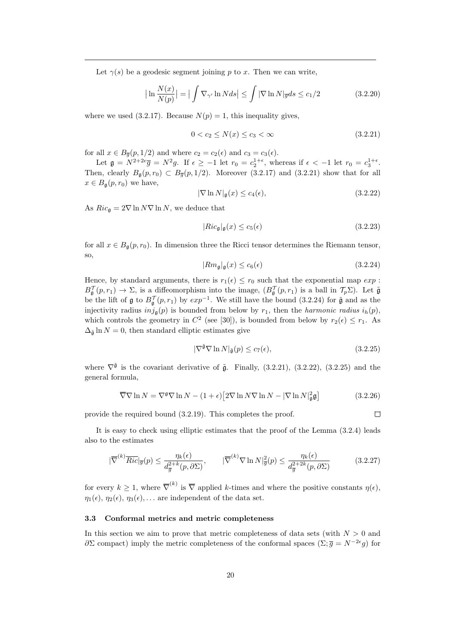Let  $\gamma(s)$  be a geodesic segment joining p to x. Then we can write,

$$
\left| \ln \frac{N(x)}{N(p)} \right| = \left| \int \nabla_{\gamma'} \ln N ds \right| \le \int |\nabla \ln N|_{\overline{g}} ds \le c_1/2 \tag{3.2.20}
$$

where we used  $(3.2.17)$ . Because  $N(p) = 1$ , this inequality gives,

$$
0 < c_2 \le N(x) \le c_3 < \infty \tag{3.2.21}
$$

for all  $x \in B_{\overline{g}}(p, 1/2)$  and where  $c_2 = c_2(\epsilon)$  and  $c_3 = c_3(\epsilon)$ .

Let  $\mathfrak{g} = N^{2+2\epsilon} \overline{g} = N^2 g$ . If  $\epsilon \ge -1$  let  $r_0 = c_2^{1+\epsilon}$ , whereas if  $\epsilon < -1$  let  $r_0 = c_3^{1+\epsilon}$ . Then, clearly  $B_{\mathfrak{g}}(p,r_0) \subset B_{\overline{g}}(p,1/2)$ . Moreover (3.2.17) and (3.2.21) show that for all  $x \in B_{\mathfrak{a}}(p,r_0)$  we have,

$$
|\nabla \ln N|_{\mathfrak{g}}(x) \le c_4(\epsilon),\tag{3.2.22}
$$

As  $Ric_{\mathfrak{g}} = 2\nabla \ln N\nabla \ln N$ , we deduce that

$$
|Ric_{\mathfrak{g}}|_{\mathfrak{g}}(x) \le c_5(\epsilon) \tag{3.2.23}
$$

for all  $x \in B_{\mathfrak{g}}(p,r_0)$ . In dimension three the Ricci tensor determines the Riemann tensor, so,

$$
|Rm_{\mathfrak{g}}|_{\mathfrak{g}}(x) \le c_6(\epsilon) \tag{3.2.24}
$$

Hence, by standard arguments, there is  $r_1(\epsilon) \leq r_0$  such that the exponential map  $exp$ :  $B_{\mathfrak{g}}^{\mathcal{T}}(p,r_1) \to \Sigma$ , is a diffeomorphism into the image,  $(B_{\mathfrak{g}}^{\mathcal{T}}(p,r_1)$  is a ball in  $\mathcal{T}_p\Sigma$ ). Let  $\tilde{\mathfrak{g}}$ be the lift of  $\mathfrak{g}$  to  $B_{\mathfrak{g}}^{\mathcal{T}}(p,r_1)$  by  $exp^{-1}$ . We still have the bound (3.2.24) for  $\tilde{\mathfrak{g}}$  and as the injectivity radius  $inj_{\mathfrak{a}}(p)$  is bounded from below by  $r_1$ , then the *harmonic radius*  $i_h(p)$ , which controls the geometry in  $C^2$  (see [30]), is bounded from below by  $r_2(\epsilon) \leq r_1$ . As  $\Delta_{\tilde{\mathfrak{a}}} \ln N = 0$ , then standard elliptic estimates give

$$
|\nabla^{\tilde{\mathfrak{g}}} \nabla \ln N|_{\tilde{\mathfrak{g}}}(p) \le c_7(\epsilon),\tag{3.2.25}
$$

where  $\nabla^{\tilde{\mathfrak{g}}}$  is the covariant derivative of  $\tilde{\mathfrak{g}}$ . Finally, (3.2.21), (3.2.22), (3.2.25) and the general formula,

$$
\overline{\nabla}\nabla\ln N = \nabla^{\mathfrak{g}}\nabla\ln N - (1+\epsilon)\left[2\nabla\ln N\nabla\ln N - |\nabla\ln N|_{\mathfrak{g}}^2\mathfrak{g}\right]
$$
(3.2.26)

provide the required bound (3.2.19). This completes the proof.

 $\Box$ 

It is easy to check using elliptic estimates that the proof of the Lemma (3.2.4) leads also to the estimates

$$
|\overline{\nabla}^{(k)} \overline{Ric}|_{\overline{g}}(p) \le \frac{\eta_k(\epsilon)}{d_{\overline{g}}^{2+k}(p, \partial \Sigma)}, \qquad |\overline{\nabla}^{(k)} \nabla \ln N|_{\overline{g}}^2(p) \le \frac{\eta_k(\epsilon)}{d_{\overline{g}}^{2+2k}(p, \partial \Sigma)} \tag{3.2.27}
$$

for every  $k \geq 1$ , where  $\overline{\nabla}^{(k)}$  is  $\overline{\nabla}$  applied k-times and where the positive constants  $\eta(\epsilon)$ ,  $\eta_1(\epsilon), \eta_2(\epsilon), \eta_3(\epsilon), \ldots$  are independent of the data set.

### 3.3 Conformal metrics and metric completeness

In this section we aim to prove that metric completeness of data sets (with  $N > 0$  and  $\partial \Sigma$  compact) imply the metric completeness of the conformal spaces  $(\Sigma; \bar{g} = N^{-2\epsilon}g)$  for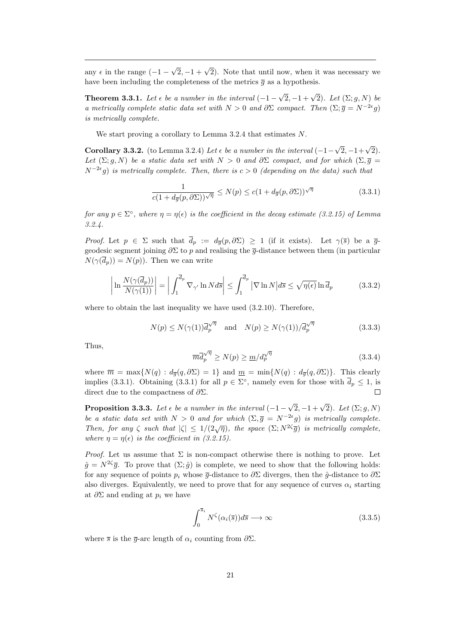any  $\epsilon$  in the range (-1 –  $\sqrt{2}$ ,  $-1 + \sqrt{2}$ ). Note that until now, when it was necessary we have been including the completeness of the metrics  $\bar{q}$  as a hypothesis.

**Theorem 3.3.1.** Let  $\epsilon$  be a number in the interval  $(-1 \sqrt{2}, -1 + \sqrt{2}$ ). Let  $(\Sigma; g, N)$  be a metrically complete static data set with  $N > 0$  and  $\partial \Sigma$  compact. Then  $(\Sigma; \overline{g} = N^{-2\epsilon}g)$ is metrically complete.

We start proving a corollary to Lemma 3.2.4 that estimates N.

Corollary 3.3.2. (to Lemma 3.2.4) Let  $\epsilon$  be a number in the interval (-1- $\sqrt{2}, -1+\sqrt{2}$ . Let  $(\Sigma; g, N)$  be a static data set with  $N > 0$  and  $\partial \Sigma$  compact, and for which  $(\Sigma, \overline{g})$  $N^{-2\epsilon}$ g) is metrically complete. Then, there is  $c > 0$  (depending on the data) such that

$$
\frac{1}{c(1+d_{\overline{g}}(p,\partial\Sigma))\sqrt{\eta}} \le N(p) \le c(1+d_{\overline{g}}(p,\partial\Sigma))\sqrt{\eta}
$$
\n(3.3.1)

for any  $p \in \Sigma^{\circ}$ , where  $\eta = \eta(\epsilon)$  is the coefficient in the decay estimate (3.2.15) of Lemma 3.2.4.

*Proof.* Let  $p \in \Sigma$  such that  $\overline{d}_p := d_{\overline{q}}(p, \partial \Sigma) \ge 1$  (if it exists). Let  $\gamma(\overline{s})$  be a  $\overline{g}$ geodesic segment joining  $\partial \Sigma$  to p and realising the  $\overline{q}$ -distance between them (in particular  $N(\gamma(\overline{d}_p)) = N(p)$ . Then we can write

$$
\left| \ln \frac{N(\gamma(\overline{d}_p))}{N(\gamma(1))} \right| = \left| \int_1^{\overline{d}_p} \nabla_{\gamma'} \ln N d\overline{s} \right| \le \int_1^{\overline{d}_p} |\nabla \ln N| d\overline{s} \le \sqrt{\eta(\epsilon)} \ln \overline{d}_p \tag{3.3.2}
$$

where to obtain the last inequality we have used (3.2.10). Therefore,

$$
N(p) \le N(\gamma(1))\overline{d}_p^{\sqrt{\eta}} \quad \text{and} \quad N(p) \ge N(\gamma(1))/\overline{d}_p^{\sqrt{\eta}} \tag{3.3.3}
$$

Thus,

$$
\overline{m}\overline{d}_{p}^{\sqrt{\eta}} \ge N(p) \ge \underline{m}/d_{p}^{\sqrt{\eta}}
$$
\n(3.3.4)

where  $\overline{m} = \max\{N(q) : d_{\overline{q}}(q, \partial \Sigma) = 1\}$  and  $\underline{m} = \min\{N(q) : d_{\overline{q}}(q, \partial \Sigma)\}\$ . This clearly implies (3.3.1). Obtaining (3.3.1) for all  $p \in \Sigma^{\circ}$ , namely even for those with  $\overline{d}_p \leq 1$ , is direct due to the compactness of  $\partial \Sigma$ .  $\Box$ 

**Proposition 3.3.3.** Let  $\epsilon$  be a number in the interval  $(-1 \sqrt{2}, -1 + \sqrt{2}$ ). Let  $(\Sigma; g, N)$ be a static data set with  $N > 0$  and for which  $(\Sigma, \overline{g}) = N^{-2\epsilon}g$  is metrically complete. Then, for any  $\zeta$  such that  $|\zeta| \leq 1/(2\sqrt{\eta})$ , the space  $(\Sigma; N^{2\zeta}\overline{g})$  is metrically complete, where  $\eta = \eta(\epsilon)$  is the coefficient in (3.2.15).

*Proof.* Let us assume that  $\Sigma$  is non-compact otherwise there is nothing to prove. Let  $\hat{g} = N^{2\zeta}\bar{g}$ . To prove that  $(\Sigma; \hat{g})$  is complete, we need to show that the following holds: for any sequence of points  $p_i$  whose  $\bar{g}$ -distance to  $\partial \Sigma$  diverges, then the  $\hat{g}$ -distance to  $\partial \Sigma$ also diverges. Equivalently, we need to prove that for any sequence of curves  $\alpha_i$  starting at  $\partial \Sigma$  and ending at  $p_i$  we have

$$
\int_0^{\overline{s}_i} N^{\zeta}(\alpha_i(\overline{s})) d\overline{s} \longrightarrow \infty \tag{3.3.5}
$$

where  $\bar{s}$  is the  $\bar{g}$ -arc length of  $\alpha_i$  counting from  $\partial \Sigma$ .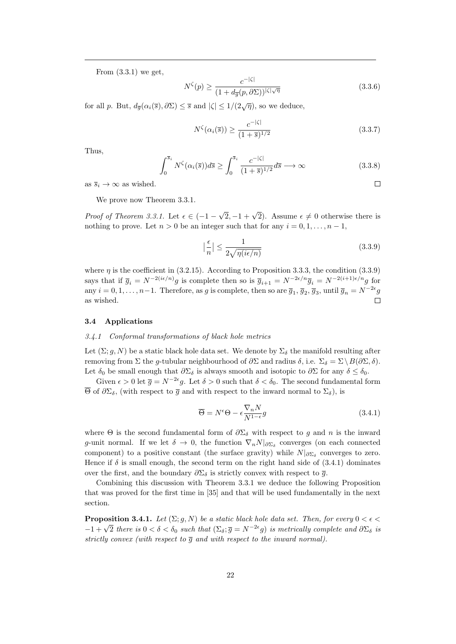From  $(3.3.1)$  we get,

$$
N^{\zeta}(p) \ge \frac{c^{-|\zeta|}}{(1 + d_{\overline{g}}(p, \partial \Sigma))^{\vert \zeta \vert \sqrt{\eta}}}
$$
(3.3.6)

for all p. But,  $d_{\overline{q}}(\alpha_i(\overline{s}), \partial \Sigma) \leq \overline{s}$  and  $|\zeta| \leq 1/(2\sqrt{\eta})$ , so we deduce,

$$
N^{\zeta}(\alpha_i(\overline{s})) \ge \frac{c^{-|\zeta|}}{(1+\overline{s})^{1/2}}\tag{3.3.7}
$$

Thus,

$$
\int_0^{\overline{s}_i} N^{\zeta}(\alpha_i(\overline{s})) d\overline{s} \ge \int_0^{\overline{s}_i} \frac{c^{-|\zeta|}}{(1+\overline{s})^{1/2}} d\overline{s} \longrightarrow \infty
$$
 (3.3.8)

as  $\overline{s}_i \to \infty$  as wished.

We prove now Theorem 3.3.1.

Proof of Theorem 3.3.1. Let  $\epsilon \in (-1 \sqrt{2}$ , -1 +  $\sqrt{2}$ ). Assume  $\epsilon \neq 0$  otherwise there is nothing to prove. Let  $n > 0$  be an integer such that for any  $i = 0, 1, \ldots, n - 1$ ,

$$
\left|\frac{\epsilon}{n}\right| \le \frac{1}{2\sqrt{\eta(i\epsilon/n)}}\tag{3.3.9}
$$

 $\Box$ 

where  $\eta$  is the coefficient in (3.2.15). According to Proposition 3.3.3, the condition (3.3.9) says that if  $\overline{g}_i = N^{-2(i\epsilon/n)}g$  is complete then so is  $\overline{g}_{i+1} = N^{-2\epsilon/n}\overline{g}_i = N^{-2(i+1)\epsilon/n}g$  for any  $i = 0, 1, \ldots, n-1$ . Therefore, as g is complete, then so are  $\overline{g}_1$ ,  $\overline{g}_2$ ,  $\overline{g}_3$ , until  $\overline{g}_n = N^{-2\epsilon}g$ as wished.

### 3.4 Applications

#### 3.4.1 Conformal transformations of black hole metrics

Let  $(\Sigma; g, N)$  be a static black hole data set. We denote by  $\Sigma_{\delta}$  the manifold resulting after removing from Σ the g-tubular neighbourhood of  $\partial \Sigma$  and radius  $\delta$ , i.e.  $\Sigma_{\delta} = \Sigma \setminus B(\partial \Sigma, \delta)$ . Let  $\delta_0$  be small enough that  $\partial \Sigma_{\delta}$  is always smooth and isotopic to  $\partial \Sigma$  for any  $\delta \leq \delta_0$ .

Given  $\epsilon > 0$  let  $\bar{g} = N^{-2\epsilon}g$ . Let  $\delta > 0$  such that  $\delta < \delta_0$ . The second fundamental form  $\overline{\Theta}$  of  $\partial \Sigma_{\delta}$ , (with respect to  $\overline{g}$  and with respect to the inward normal to  $\Sigma_{\delta}$ ), is

$$
\overline{\Theta} = N^{\epsilon} \Theta - \epsilon \frac{\nabla_n N}{N^{1-\epsilon}} g \tag{3.4.1}
$$

where  $\Theta$  is the second fundamental form of  $\partial \Sigma_{\delta}$  with respect to g and n is the inward g-unit normal. If we let  $\delta \to 0$ , the function  $\nabla_n N|_{\partial \Sigma_{\delta}}$  converges (on each connected component) to a positive constant (the surface gravity) while  $N|_{\partial \Sigma_{\delta}}$  converges to zero. Hence if  $\delta$  is small enough, the second term on the right hand side of (3.4.1) dominates over the first, and the boundary  $\partial \Sigma_{\delta}$  is strictly convex with respect to  $\overline{g}$ .

Combining this discussion with Theorem 3.3.1 we deduce the following Proposition that was proved for the first time in [35] and that will be used fundamentally in the next section.

**Proposition 3.4.1.** Let  $(\Sigma; g, N)$  be a static black hole data set. Then, for every  $0 < \epsilon <$  $-1 + \sqrt{2}$  there is 0 < δ < δ<sub>0</sub> such that  $(\Sigma_{\delta}; \overline{g} = N^{-2\epsilon}g)$  is metrically complete and ∂Σ<sub>δ</sub> is strictly convex (with respect to  $\overline{g}$  and with respect to the inward normal).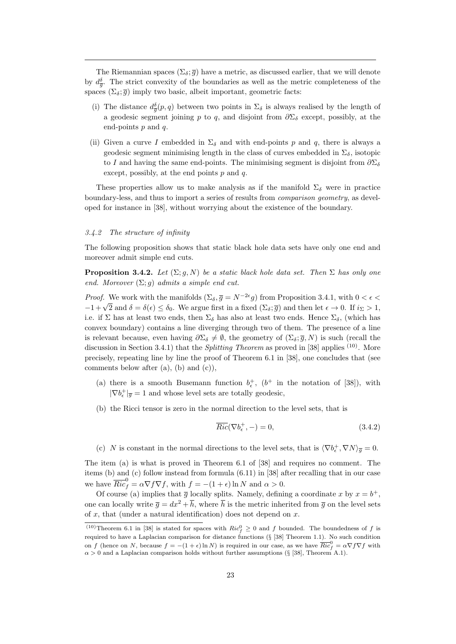The Riemannian spaces  $(\Sigma_{\delta}, \overline{g})$  have a metric, as discussed earlier, that we will denote by  $d_{\overline{g}}^{\delta}$ . The strict convexity of the boundaries as well as the metric completeness of the spaces  $(\Sigma_{\delta}; \overline{g})$  imply two basic, albeit important, geometric facts:

- (i) The distance  $d_{\overline{g}}^{\delta}(p,q)$  between two points in  $\Sigma_{\delta}$  is always realised by the length of a geodesic segment joining p to q, and disjoint from  $\partial \Sigma_{\delta}$  except, possibly, at the end-points  $p$  and  $q$ .
- (ii) Given a curve I embedded in  $\Sigma_{\delta}$  and with end-points p and q, there is always a geodesic segment minimising length in the class of curves embedded in  $\Sigma_{\delta}$ , isotopic to I and having the same end-points. The minimising segment is disjoint from  $\partial \Sigma_{\delta}$ except, possibly, at the end points  $p$  and  $q$ .

These properties allow us to make analysis as if the manifold  $\Sigma_{\delta}$  were in practice boundary-less, and thus to import a series of results from comparison geometry, as developed for instance in [38], without worrying about the existence of the boundary.

### 3.4.2 The structure of infinity

The following proposition shows that static black hole data sets have only one end and moreover admit simple end cuts.

**Proposition 3.4.2.** Let  $(\Sigma; g, N)$  be a static black hole data set. Then  $\Sigma$  has only one end. Moreover  $(\Sigma; g)$  admits a simple end cut.

*Proof.* We work with the manifolds  $(\Sigma_{\delta}, \overline{g} = N^{-2\epsilon}g)$  from Proposition 3.4.1, with  $0 < \epsilon <$  $-1+\sqrt{2}$  and  $\delta = \delta(\epsilon) \leq \delta_0$ . We argue first in a fixed (Σ<sub>δ</sub>; *g*) and then let  $\epsilon \to 0$ . If  $i_{\Sigma} > 1$ , i.e. if  $\Sigma$  has at least two ends, then  $\Sigma_{\delta}$  has also at least two ends. Hence  $\Sigma_{\delta}$ , (which has convex boundary) contains a line diverging through two of them. The presence of a line is relevant because, even having  $\partial \Sigma_{\delta} \neq \emptyset$ , the geometry of  $(\Sigma_{\delta}; \overline{g}, N)$  is such (recall the discussion in Section 3.4.1) that the *Splitting Theorem* as proved in [38] applies <sup>(10)</sup>. More precisely, repeating line by line the proof of Theorem 6.1 in [38], one concludes that (see comments below after (a), (b) and (c)),

- (a) there is a smooth Busemann function  $b_{\epsilon}^{+}$ ,  $(b^{+}$  in the notation of [38]), with  $|\nabla b_{\epsilon}^{+}|_{\overline{g}}=1$  and whose level sets are totally geodesic,
- (b) the Ricci tensor is zero in the normal direction to the level sets, that is

$$
\overline{Ric}(\nabla b_{\epsilon}^{+}, -) = 0,\tag{3.4.2}
$$

(c) N is constant in the normal directions to the level sets, that is  $\langle \nabla b_{\epsilon}^{+}, \nabla N \rangle_{\overline{g}} = 0$ .

The item (a) is what is proved in Theorem 6.1 of [38] and requires no comment. The items (b) and (c) follow instead from formula (6.11) in [38] after recalling that in our case we have  $\overline{Ric}^0_f = \alpha \nabla f \nabla f$ , with  $f = -(1 + \epsilon) \ln N$  and  $\alpha > 0$ .

Of course (a) implies that  $\overline{g}$  locally splits. Namely, defining a coordinate x by  $x = b^{+}$ , one can locally write  $\bar{g} = dx^2 + \bar{h}$ , where  $\bar{h}$  is the metric inherited from  $\bar{g}$  on the level sets of  $x$ , that (under a natural identification) does not depend on  $x$ .

<sup>(10)</sup>Theorem 6.1 in [38] is stated for spaces with  $Ric_f^0 \geq 0$  and f bounded. The boundedness of f is required to have a Laplacian comparison for distance functions (§ [38] Theorem 1.1). No such condition on f (hence on N, because  $f = -(1 + \epsilon) \ln N$ ) is required in our case, as we have  $\overline{Ric}_{f}^{0} = \alpha \nabla f \nabla f$  with  $\alpha > 0$  and a Laplacian comparison holds without further assumptions (§ [38], Theorem A.1).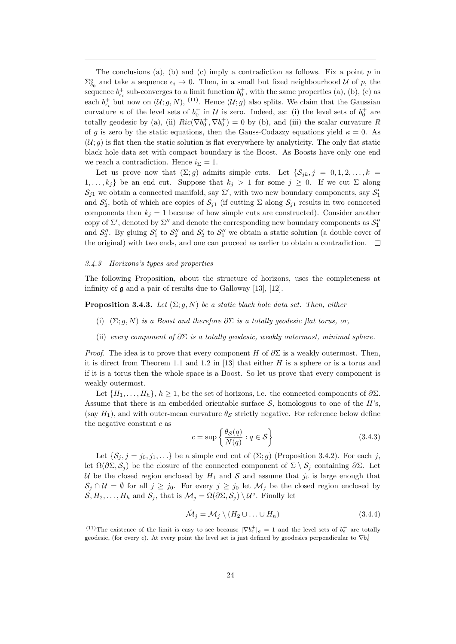The conclusions (a), (b) and (c) imply a contradiction as follows. Fix a point  $p$  in  $\Sigma_{\delta_0}^{\circ}$  and take a sequence  $\epsilon_i \to 0$ . Then, in a small but fixed neighbourhood U of p, the sequence  $b_{\epsilon_i}^+$  sub-converges to a limit function  $b_0^+$ , with the same properties (a), (b), (c) as each  $b_{\epsilon_i}^+$  but now on  $(\mathcal{U};g,N)$ , <sup>(11)</sup>. Hence  $(\mathcal{U};g)$  also splits. We claim that the Gaussian curvature  $\kappa$  of the level sets of  $b_0^+$  in U is zero. Indeed, as: (i) the level sets of  $b_0^+$  are totally geodesic by (a), (ii)  $Ric(\nabla b_0^+, \nabla b_0^+) = 0$  by (b), and (iii) the scalar curvature R of g is zero by the static equations, then the Gauss-Codazzy equations yield  $\kappa = 0$ . As  $(U; q)$  is flat then the static solution is flat everywhere by analyticity. The only flat static black hole data set with compact boundary is the Boost. As Boosts have only one end we reach a contradiction. Hence  $i_{\Sigma} = 1$ .

Let us prove now that  $(\Sigma; g)$  admits simple cuts. Let  $\{\mathcal{S}_{ik}, j = 0, 1, 2, \ldots, k\}$  $1, \ldots, k_j$  be an end cut. Suppose that  $k_j > 1$  for some  $j \geq 0$ . If we cut  $\Sigma$  along  $\mathcal{S}_{j1}$  we obtain a connected manifold, say  $\Sigma'$ , with two new boundary components, say  $\mathcal{S}'_1$ and  $S'_2$ , both of which are copies of  $S_{j1}$  (if cutting  $\Sigma$  along  $S_{j1}$  results in two connected components then  $k_j = 1$  because of how simple cuts are constructed). Consider another copy of  $\Sigma'$ , denoted by  $\Sigma''$  and denote the corresponding new boundary components as  $\mathcal{S}_1''$ and  $S_2''$ . By gluing  $S_1'$  to  $S_2''$  and  $S_2'$  to  $S_1''$  we obtain a static solution (a double cover of the original) with two ends, and one can proceed as earlier to obtain a contradiction.  $\Box$ 

### 3.4.3 Horizons's types and properties

The following Proposition, about the structure of horizons, uses the completeness at infinity of g and a pair of results due to Galloway [13], [12].

**Proposition 3.4.3.** Let  $(\Sigma; g, N)$  be a static black hole data set. Then, either

- (i)  $(\Sigma; g, N)$  is a Boost and therefore  $\partial \Sigma$  is a totally geodesic flat torus, or,
- (ii) every component of  $\partial \Sigma$  is a totally geodesic, weakly outermost, minimal sphere.

*Proof.* The idea is to prove that every component H of  $\partial \Sigma$  is a weakly outermost. Then, it is direct from Theorem 1.1 and 1.2 in [13] that either  $H$  is a sphere or is a torus and if it is a torus then the whole space is a Boost. So let us prove that every component is weakly outermost.

Let  $\{H_1, \ldots, H_h\}, h \geq 1$ , be the set of horizons, i.e. the connected components of  $\partial \Sigma$ . Assume that there is an embedded orientable surface  $S$ , homologous to one of the H's, (say  $H_1$ ), and with outer-mean curvature  $\theta_{\mathcal{S}}$  strictly negative. For reference below define the negative constant  $c$  as

$$
c = \sup \left\{ \frac{\theta \mathcal{S}(q)}{N(q)} : q \in \mathcal{S} \right\} \tag{3.4.3}
$$

Let  $\{\mathcal{S}_j, j = j_0, j_1, \ldots\}$  be a simple end cut of  $(\Sigma; g)$  (Proposition 3.4.2). For each j, let  $\Omega(\partial \Sigma, \mathcal{S}_i)$  be the closure of the connected component of  $\Sigma \setminus \mathcal{S}_i$  containing  $\partial \Sigma$ . Let U be the closed region enclosed by  $H_1$  and S and assume that  $j_0$  is large enough that  $S_j \cap \mathcal{U} = \emptyset$  for all  $j \geq j_0$ . For every  $j \geq j_0$  let  $\mathcal{M}_j$  be the closed region enclosed by  $S, H_2, \ldots, H_h$  and  $S_j$ , that is  $\mathcal{M}_j = \Omega(\partial \Sigma, \mathcal{S}_j) \setminus \mathcal{U}^\circ$ . Finally let

$$
\hat{\mathcal{M}}_j = \mathcal{M}_j \setminus (H_2 \cup \ldots \cup H_h) \tag{3.4.4}
$$

<sup>&</sup>lt;sup>(11)</sup>The existence of the limit is easy to see because  $|\nabla b_{\epsilon}^{+}|_{\overline{g}} = 1$  and the level sets of  $b_{\epsilon}^{+}$  are totally geodesic, (for every  $\epsilon$ ). At every point the level set is just defined by geodesics perpendicular to  $\nabla b_{\epsilon}^+$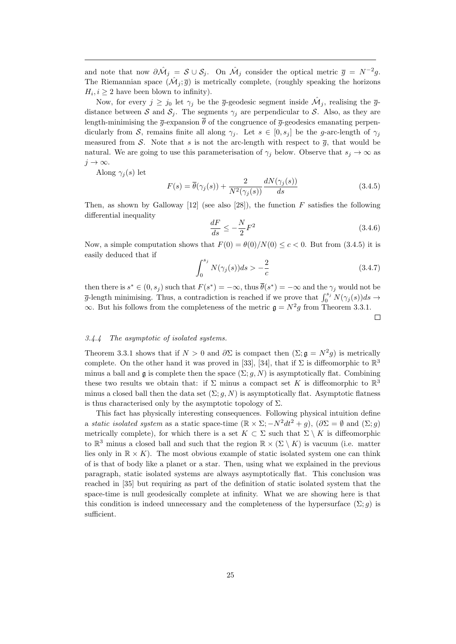and note that now  $\partial \hat{\mathcal{M}}_j = \mathcal{S} \cup \mathcal{S}_j$ . On  $\hat{\mathcal{M}}_j$  consider the optical metric  $\bar{g} = N^{-2}g$ . The Riemannian space  $(\hat{\mathcal{M}}_j, \overline{g})$  is metrically complete, (roughly speaking the horizons  $H_i, i \geq 2$  have been blown to infinity).

Now, for every  $j \ge j_0$  let  $\gamma_j$  be the  $\bar{g}$ -geodesic segment inside  $\hat{\mathcal{M}}_j$ , realising the  $\bar{g}$ distance between S and  $S_j$ . The segments  $\gamma_j$  are perpendicular to S. Also, as they are length-minimising the  $\bar{q}$ -expansion  $\bar{\theta}$  of the congruence of  $\bar{q}$ -geodesics emanating perpendicularly from S, remains finite all along  $\gamma_i$ . Let  $s \in [0, s_i]$  be the g-arc-length of  $\gamma_i$ measured from S. Note that s is not the arc-length with respect to  $\bar{g}$ , that would be natural. We are going to use this parameterisation of  $\gamma_j$  below. Observe that  $s_j \to \infty$  as  $j \to \infty$ .

Along  $\gamma_i(s)$  let

$$
F(s) = \overline{\theta}(\gamma_j(s)) + \frac{2}{N^2(\gamma_j(s))} \frac{dN(\gamma_j(s))}{ds}
$$
\n(3.4.5)

Then, as shown by Galloway  $[12]$  (see also  $[28]$ ), the function F satisfies the following differential inequality

$$
\frac{dF}{ds} \le -\frac{N}{2}F^2\tag{3.4.6}
$$

Now, a simple computation shows that  $F(0) = \frac{\theta(0)}{N(0)} \leq c < 0$ . But from (3.4.5) it is easily deduced that if

$$
\int_{0}^{s_j} N(\gamma_j(s))ds > -\frac{2}{c}
$$
 (3.4.7)

then there is  $s^* \in (0, s_j)$  such that  $F(s^*) = -\infty$ , thus  $\overline{\theta}(s^*) = -\infty$  and the  $\gamma_j$  would not be  $\overline{g}$ -length minimising. Thus, a contradiction is reached if we prove that  $\int_0^{s_j} N(\gamma_j(s))ds \to$  $\infty$ . But his follows from the completeness of the metric  $\mathfrak{g} = N^2 g$  from Theorem 3.3.1.  $\Box$ 

### 3.4.4 The asymptotic of isolated systems.

Theorem 3.3.1 shows that if  $N > 0$  and  $\partial \Sigma$  is compact then  $(\Sigma; \mathfrak{g} = N^2 g)$  is metrically complete. On the other hand it was proved in [33], [34], that if  $\Sigma$  is diffeomorphic to  $\mathbb{R}^3$ minus a ball and  $\mathfrak g$  is complete then the space  $(\Sigma; q, N)$  is asymptotically flat. Combining these two results we obtain that: if  $\Sigma$  minus a compact set K is diffeomorphic to  $\mathbb{R}^3$ minus a closed ball then the data set  $(\Sigma; g, N)$  is asymptotically flat. Asymptotic flatness is thus characterised only by the asymptotic topology of  $\Sigma$ .

This fact has physically interesting consequences. Following physical intuition define a static isolated system as a static space-time  $(\mathbb{R} \times \Sigma; -N^2 dt^2 + g)$ ,  $(\partial \Sigma = \emptyset$  and  $(\Sigma; g)$ metrically complete), for which there is a set  $K \subset \Sigma$  such that  $\Sigma \setminus K$  is diffeomorphic to  $\mathbb{R}^3$  minus a closed ball and such that the region  $\mathbb{R} \times (\Sigma \setminus K)$  is vacuum (i.e. matter lies only in  $\mathbb{R} \times K$ ). The most obvious example of static isolated system one can think of is that of body like a planet or a star. Then, using what we explained in the previous paragraph, static isolated systems are always asymptotically flat. This conclusion was reached in [35] but requiring as part of the definition of static isolated system that the space-time is null geodesically complete at infinity. What we are showing here is that this condition is indeed unnecessary and the completeness of the hypersurface  $(\Sigma; q)$  is sufficient.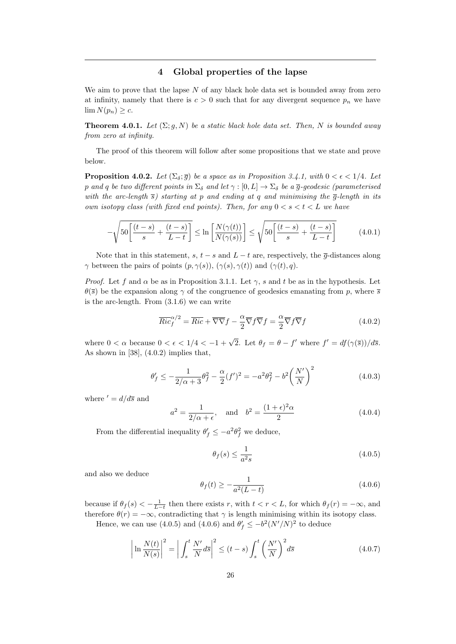### 4 Global properties of the lapse

We aim to prove that the lapse  $N$  of any black hole data set is bounded away from zero at infinity, namely that there is  $c > 0$  such that for any divergent sequence  $p_n$  we have  $\lim N(p_n) \geq c.$ 

**Theorem 4.0.1.** Let  $(\Sigma; g, N)$  be a static black hole data set. Then, N is bounded away from zero at infinity.

The proof of this theorem will follow after some propositions that we state and prove below.

**Proposition 4.0.2.** Let  $(\Sigma_{\delta}; \overline{g})$  be a space as in Proposition 3.4.1, with  $0 < \epsilon < 1/4$ . Let p and q be two different points in  $\Sigma_{\delta}$  and let  $\gamma : [0, L] \to \Sigma_{\delta}$  be a  $\overline{g}$ -geodesic (parameterised with the arc-length  $\overline{s}$ ) starting at p and ending at q and minimising the  $\overline{g}$ -length in its own isotopy class (with fixed end points). Then, for any  $0 < s < t < L$  we have

$$
-\sqrt{50\left[\frac{(t-s)}{s} + \frac{(t-s)}{L-t}\right]} \le \ln\left[\frac{N(\gamma(t))}{N(\gamma(s))}\right] \le \sqrt{50\left[\frac{(t-s)}{s} + \frac{(t-s)}{L-t}\right]}
$$
(4.0.1)

Note that in this statement, s,  $t - s$  and  $L - t$  are, respectively, the  $\overline{g}$ -distances along  $\gamma$  between the pairs of points  $(p, \gamma(s)), (\gamma(s), \gamma(t))$  and  $(\gamma(t), q)$ .

*Proof.* Let f and  $\alpha$  be as in Proposition 3.1.1. Let  $\gamma$ , s and t be as in the hypothesis. Let  $\theta(\bar{s})$  be the expansion along  $\gamma$  of the congruence of geodesics emanating from p, where  $\bar{s}$ is the arc-length. From (3.1.6) we can write

$$
\overline{Ric}_f^{\alpha/2} = \overline{Ric} + \overline{\nabla}\overline{\nabla}f - \frac{\alpha}{2}\overline{\nabla}f\overline{\nabla}f = \frac{\alpha}{2}\overline{\nabla}f\overline{\nabla}f \tag{4.0.2}
$$

where  $0 < \alpha$  because  $0 < \epsilon < 1/4 < -1 + \sqrt{2}$ . Let  $\theta_f = \theta - f'$  where  $f' = df(\gamma(\overline{s}))/d\overline{s}$ . As shown in  $[38]$ ,  $(4.0.2)$  implies that,

$$
\theta'_f \le -\frac{1}{2/\alpha + 3}\theta_f^2 - \frac{\alpha}{2}(f')^2 = -a^2\theta_f^2 - b^2\left(\frac{N'}{N}\right)^2 \tag{4.0.3}
$$

where  $d = d/d\overline{s}$  and

$$
a^2 = \frac{1}{2/\alpha + \epsilon}, \quad \text{and} \quad b^2 = \frac{(1+\epsilon)^2 \alpha}{2} \tag{4.0.4}
$$

From the differential inequality  $\theta'_{f} \leq -a^2 \theta_f^2$  we deduce,

$$
\theta_f(s) \le \frac{1}{a^2 s} \tag{4.0.5}
$$

and also we deduce

$$
\theta_f(t) \ge -\frac{1}{a^2(L-t)}\tag{4.0.6}
$$

because if  $\theta_f(s) < -\frac{1}{L-t}$  then there exists r, with  $t < r < L$ , for which  $\theta_f(r) = -\infty$ , and therefore  $\theta(r) = -\infty$ , contradicting that  $\gamma$  is length minimising within its isotopy class.

Hence, we can use (4.0.5) and (4.0.6) and  $\theta'_{f} \leq -b^2 (N'/N)^2$  to deduce

$$
\left|\ln\frac{N(t)}{N(s)}\right|^2 = \left|\int_s^t \frac{N'}{N} d\overline{s}\right|^2 \le (t-s)\int_s^t \left(\frac{N'}{N}\right)^2 d\overline{s}
$$
\n(4.0.7)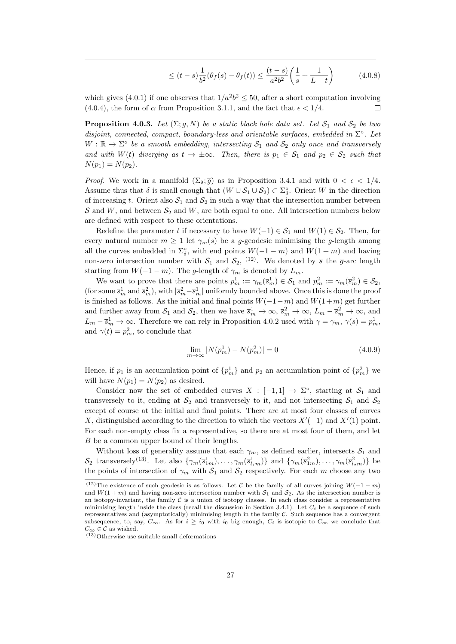$$
\leq (t-s)\frac{1}{b^2}(\theta_f(s) - \theta_f(t)) \leq \frac{(t-s)}{a^2b^2} \left(\frac{1}{s} + \frac{1}{L-t}\right) \tag{4.0.8}
$$

which gives (4.0.1) if one observes that  $1/a^2b^2 \le 50$ , after a short computation involving (4.0.4), the form of  $\alpha$  from Proposition 3.1.1, and the fact that  $\epsilon < 1/4$ .  $\Box$ 

**Proposition 4.0.3.** Let  $(\Sigma; g, N)$  be a static black hole data set. Let  $S_1$  and  $S_2$  be two disjoint, connected, compact, boundary-less and orientable surfaces, embedded in  $\Sigma^{\circ}$ . Let  $W : \mathbb{R} \to \Sigma^{\circ}$  be a smooth embedding, intersecting  $S_1$  and  $S_2$  only once and transversely and with  $W(t)$  diverging as  $t \to \pm \infty$ . Then, there is  $p_1 \in S_1$  and  $p_2 \in S_2$  such that  $N(p_1) = N(p_2)$ .

*Proof.* We work in a manifold  $(\Sigma_{\delta}; \overline{q})$  as in Proposition 3.4.1 and with  $0 < \epsilon < 1/4$ . Assume thus that  $\delta$  is small enough that  $(W \cup S_1 \cup S_2) \subset \Sigma_{\delta}^{\circ}$ . Orient W in the direction of increasing t. Orient also  $S_1$  and  $S_2$  in such a way that the intersection number between S and W, and between  $S_2$  and W, are both equal to one. All intersection numbers below are defined with respect to these orientations.

Redefine the parameter t if necessary to have  $W(-1) \in S_1$  and  $W(1) \in S_2$ . Then, for every natural number  $m \geq 1$  let  $\gamma_m(\bar{s})$  be a  $\bar{g}$ -geodesic minimising the  $\bar{g}$ -length among all the curves embedded in  $\Sigma_{\delta}^{\circ}$ , with end points  $W(-1-m)$  and  $W(1+m)$  and having non-zero intersection number with  $S_1$  and  $S_2$ , <sup>(12)</sup>. We denoted by  $\overline{s}$  the  $\overline{g}$ -arc length starting from  $W(-1 - m)$ . The  $\bar{g}$ -length of  $\gamma_m$  is denoted by  $L_m$ .

We want to prove that there are points  $p_m^1 := \gamma_m(\bar{s}_m^1) \in \mathcal{S}_1$  and  $p_m^2 := \gamma_m(\bar{s}_m^2) \in \mathcal{S}_2$ , (for some  $\bar{s}_m^1$  and  $\bar{s}_m^2$ ), with  $|\bar{s}_m^2 - \bar{s}_m^1|$  uniformly bounded above. Once this is done the proof is finished as follows. As the initial and final points  $W(-1-m)$  and  $W(1+m)$  get further and further away from  $S_1$  and  $S_2$ , then we have  $\overline{s}_{m}^1 \to \infty$ ,  $\overline{s}_{m}^2 \to \infty$ ,  $L_m - \overline{s}_{m}^2 \to \infty$ , and  $L_m - \bar{s}_m^1 \to \infty$ . Therefore we can rely in Proposition 4.0.2 used with  $\gamma = \gamma_m$ ,  $\gamma(s) = p_m^1$ , and  $\gamma(t) = p_m^2$ , to conclude that

$$
\lim_{m \to \infty} |N(p_m^1) - N(p_m^2)| = 0 \tag{4.0.9}
$$

Hence, if  $p_1$  is an accumulation point of  $\{p_m^1\}$  and  $p_2$  an accumulation point of  $\{p_m^2\}$  we will have  $N(p_1) = N(p_2)$  as desired.

Consider now the set of embedded curves  $X : [-1,1] \rightarrow \Sigma^{\circ}$ , starting at  $S_1$  and transversely to it, ending at  $S_2$  and transversely to it, and not intersecting  $S_1$  and  $S_2$ except of course at the initial and final points. There are at most four classes of curves X, distinguished according to the direction to which the vectors  $X'(-1)$  and  $X'(1)$  point. For each non-empty class fix a representative, so there are at most four of them, and let B be a common upper bound of their lengths.

Without loss of generality assume that each  $\gamma_m$ , as defined earlier, intersects  $S_1$  and  $S_2$  transversely<sup>(13)</sup>. Let also  $\{\gamma_m(\bar{s}_{1m}^1), \ldots, \gamma_m(\bar{s}_{l_1m}^1)\}$  and  $\{\gamma_m(\bar{s}_{1m}^2), \ldots, \gamma_m(\bar{s}_{l_2m}^2)\}$  be the points of intersection of  $\gamma_m$  with  $S_1$  and  $S_2$  respectively. For each m choose any two

 $\sqrt{(12)}$ The existence of such geodesic is as follows. Let C be the family of all curves joining  $W(-1-m)$ and  $W(1 + m)$  and having non-zero intersection number with  $S_1$  and  $S_2$ . As the intersection number is an isotopy-invariant, the family  $\mathcal C$  is a union of isotopy classes. In each class consider a representative minimising length inside the class (recall the discussion in Section 3.4.1). Let  $C_i$  be a sequence of such representatives and (asymptotically) minimising length in the family  $C$ . Such sequence has a convergent subsequence, to, say,  $C_{\infty}$ . As for  $i \geq i_0$  with  $i_0$  big enough,  $C_i$  is isotopic to  $C_{\infty}$  we conclude that  $C_{\infty} \in \mathcal{C}$  as wished.

 $(13)$ Otherwise use suitable small deformations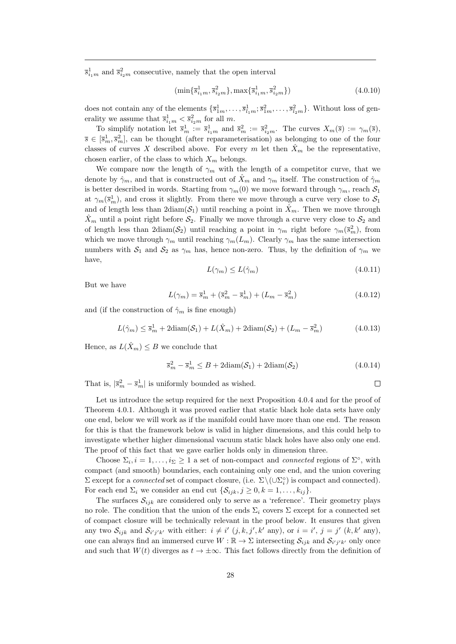$\bar{s}^1_{i_1m}$  and  $\bar{s}^2_{i_2m}$  consecutive, namely that the open interval

$$
\left(\min\{\overline{s}_{i_1m}^1,\overline{s}_{i_2m}^2\},\max\{\overline{s}_{i_1m}^1,\overline{s}_{i_2m}^2\}\right) \tag{4.0.10}
$$

does not contain any of the elements  $\{\bar{s}_{1m}^1, \ldots, \bar{s}_{l_1m}^1, \bar{s}_{1m}^2, \ldots, \bar{s}_{l_2m}^2\}$ . Without loss of generality we assume that  $\bar{s}_{i_1m}^1 < \bar{s}_{i_2m}^2$  for all m.

To simplify notation let  $\bar{s}_m^1 := \bar{s}_{i_1m}^1$  and  $\bar{s}_m^2 := \bar{s}_{i_2m}^2$ . The curves  $X_m(\bar{s}) := \gamma_m(\bar{s})$ ,  $\overline{s} \in [\overline{s}_m^1, \overline{s}_m^2]$ , can be thought (after reparameterisation) as belonging to one of the four classes of curves X described above. For every m let then  $\hat{X}_m$  be the representative, chosen earlier, of the class to which  $X_m$  belongs.

We compare now the length of  $\gamma_m$  with the length of a competitor curve, that we denote by  $\hat{\gamma}_m$ , and that is constructed out of  $\hat{X}_m$  and  $\gamma_m$  itself. The construction of  $\hat{\gamma}_m$ is better described in words. Starting from  $\gamma_m(0)$  we move forward through  $\gamma_m$ , reach  $S_1$ at  $\gamma_m(\bar{s}_m^1)$ , and cross it slightly. From there we move through a curve very close to  $S_1$ and of length less than  $2\text{diam}(\mathcal{S}_1)$  until reaching a point in  $\hat{X}_m$ . Then we move through  $\hat{X}_m$  until a point right before  $\mathcal{S}_2$ . Finally we move through a curve very close to  $\mathcal{S}_2$  and of length less than  $2\text{diam}(\mathcal{S}_2)$  until reaching a point in  $\gamma_m$  right before  $\gamma_m(\bar{s}_m^2)$ , from which we move through  $\gamma_m$  until reaching  $\gamma_m(L_m)$ . Clearly  $\gamma_m$  has the same intersection numbers with  $S_1$  and  $S_2$  as  $\gamma_m$  has, hence non-zero. Thus, by the definition of  $\gamma_m$  we have,

$$
L(\gamma_m) \le L(\hat{\gamma}_m) \tag{4.0.11}
$$

But we have

$$
L(\gamma_m) = \bar{s}_m^1 + (\bar{s}_m^2 - \bar{s}_m^1) + (L_m - \bar{s}_m^2)
$$
\n(4.0.12)

and (if the construction of  $\hat{\gamma}_m$  is fine enough)

$$
L(\hat{\gamma}_m) \le \overline{s}_m^1 + 2\text{diam}(\mathcal{S}_1) + L(\hat{X}_m) + 2\text{diam}(\mathcal{S}_2) + (L_m - \overline{s}_m^2) \tag{4.0.13}
$$

Hence, as  $L(\hat{X}_m) \leq B$  we conclude that

$$
\overline{s}_{m}^{2} - \overline{s}_{m}^{1} \le B + 2\text{diam}(\mathcal{S}_{1}) + 2\text{diam}(\mathcal{S}_{2})
$$
\n(4.0.14)

That is,  $|\bar{s}_m^2 - \bar{s}_m^1|$  is uniformly bounded as wished.

 $\Box$ 

Let us introduce the setup required for the next Proposition 4.0.4 and for the proof of Theorem 4.0.1. Although it was proved earlier that static black hole data sets have only one end, below we will work as if the manifold could have more than one end. The reason for this is that the framework below is valid in higher dimensions, and this could help to investigate whether higher dimensional vacuum static black holes have also only one end. The proof of this fact that we gave earlier holds only in dimension three.

Choose  $\Sigma_i, i = 1, \ldots, i_\Sigma \geq 1$  a set of non-compact and *connected* regions of  $\Sigma^{\circ}$ , with compact (and smooth) boundaries, each containing only one end, and the union covering  $\Sigma$  except for a *connected* set of compact closure, (i.e.  $\Sigma \setminus (\cup \Sigma_i^{\circ})$  is compact and connected). For each end  $\Sigma_i$  we consider an end cut  $\{\mathcal{S}_{ijk}, j \geq 0, k = 1, \ldots, k_{ij}\}.$ 

The surfaces  $S_{ijk}$  are considered only to serve as a 'reference'. Their geometry plays no role. The condition that the union of the ends  $\Sigma_i$  covers  $\Sigma$  except for a connected set of compact closure will be technically relevant in the proof below. It ensures that given any two  $S_{ijk}$  and  $S_{i'j'k'}$  with either:  $i \neq i'$   $(j, k, j', k'$  any), or  $i = i', j = j'$   $(k, k'$  any), one can always find an immersed curve  $W : \mathbb{R} \to \Sigma$  intersecting  $\mathcal{S}_{ijk}$  and  $\mathcal{S}_{i'j'k'}$  only once and such that  $W(t)$  diverges as  $t \to \pm \infty$ . This fact follows directly from the definition of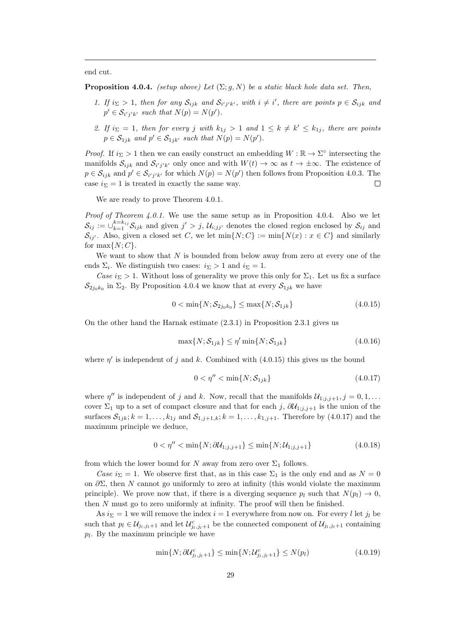end cut.

**Proposition 4.0.4.** (setup above) Let  $(\Sigma; g, N)$  be a static black hole data set. Then,

- 1. If  $i_{\Sigma} > 1$ , then for any  $S_{ijk}$  and  $S_{i'j'k'}$ , with  $i \neq i'$ , there are points  $p \in S_{ijk}$  and  $p' \in \mathcal{S}_{i'j'k'}$  such that  $N(p) = N(p')$ .
- 2. If  $i_{\Sigma} = 1$ , then for every j with  $k_{1j} > 1$  and  $1 \leq k \neq k' \leq k_{1j}$ , there are points  $p \in S_{1jk}$  and  $p' \in S_{1jk'}$  such that  $N(p) = N(p')$ .

*Proof.* If  $i_{\Sigma} > 1$  then we can easily construct an embedding  $W : \mathbb{R} \to \Sigma^{\circ}$  intersecting the manifolds  $S_{ijk}$  and  $S_{i'j'k'}$  only once and with  $W(t) \to \infty$  as  $t \to \pm \infty$ . The existence of  $p \in \mathcal{S}_{ijk}$  and  $p' \in \mathcal{S}_{i'j'k'}$  for which  $N(p) = N(p')$  then follows from Proposition 4.0.3. The case  $i_{\Sigma} = 1$  is treated in exactly the same way.  $\Box$ 

We are ready to prove Theorem  $4.0.1$ .

*Proof of Theorem 4.0.1.* We use the same setup as in Proposition 4.0.4. Also we let  $S_{ij} := \bigcup_{k=1}^{k=k_{ij}} S_{ijk}$  and given  $j' > j$ ,  $\mathcal{U}_{i;jj'}$  denotes the closed region enclosed by  $S_{ij}$  and  $\mathcal{S}_{ij'}$ . Also, given a closed set C, we let  $\min\{N;C\} := \min\{N(x) : x \in C\}$  and similarly for  $\max\{N; C\}.$ 

We want to show that  $N$  is bounded from below away from zero at every one of the ends  $\Sigma_i$ . We distinguish two cases:  $i_{\Sigma} > 1$  and  $i_{\Sigma} = 1$ .

Case  $i_{\Sigma} > 1$ . Without loss of generality we prove this only for  $\Sigma_1$ . Let us fix a surface  $\mathcal{S}_{2j_0k_0}$  in  $\Sigma_2$ . By Proposition 4.0.4 we know that at every  $\mathcal{S}_{1jk}$  we have

$$
0 < \min\{N; \mathcal{S}_{2j_0k_0}\} \le \max\{N; \mathcal{S}_{1jk}\} \tag{4.0.15}
$$

On the other hand the Harnak estimate (2.3.1) in Proposition 2.3.1 gives us

$$
\max\{N; \mathcal{S}_{1jk}\} \le \eta' \min\{N; \mathcal{S}_{1jk}\}\tag{4.0.16}
$$

where  $\eta'$  is independent of j and k. Combined with (4.0.15) this gives us the bound

$$
0 < \eta'' < \min\{N; \mathcal{S}_{1jk}\} \tag{4.0.17}
$$

where  $\eta''$  is independent of j and k. Now, recall that the manifolds  $\mathcal{U}_{1;j,j+1}, j = 0,1,...$ cover  $\Sigma_1$  up to a set of compact closure and that for each j,  $\partial \mathcal{U}_{1,i,j+1}$  is the union of the surfaces  $S_{1jk}$ ;  $k = 1, ..., k_{1j}$  and  $S_{1,j+1,k}$ ;  $k = 1, ..., k_{1,j+1}$ . Therefore by (4.0.17) and the maximum principle we deduce,

$$
0 < \eta'' < \min\{N; \partial \mathcal{U}_{1;j,j+1}\} \le \min\{N; \mathcal{U}_{1;j,j+1}\}
$$
\n(4.0.18)

from which the lower bound for N away from zero over  $\Sigma_1$  follows.

Case  $i_{\Sigma} = 1$ . We observe first that, as in this case  $\Sigma_1$  is the only end and as  $N = 0$ on  $\partial \Sigma$ , then N cannot go uniformly to zero at infinity (this would violate the maximum principle). We prove now that, if there is a diverging sequence  $p_l$  such that  $N(p_l) \rightarrow 0$ , then N must go to zero uniformly at infinity. The proof will then be finished.

As  $i_{\Sigma} = 1$  we will remove the index  $i = 1$  everywhere from now on. For every l let  $j_l$  be such that  $p_l \in \mathcal{U}_{j_l,j_l+1}$  and let  $\mathcal{U}_{j_l,j_l+1}^c$  be the connected component of  $\mathcal{U}_{j_l,j_l+1}$  containing  $p_l$ . By the maximum principle we have

$$
\min\{N; \partial \mathcal{U}_{j_l,j_l+1}^c\} \le \min\{N; \mathcal{U}_{j_l,j_l+1}^c\} \le N(p_l)
$$
\n(4.0.19)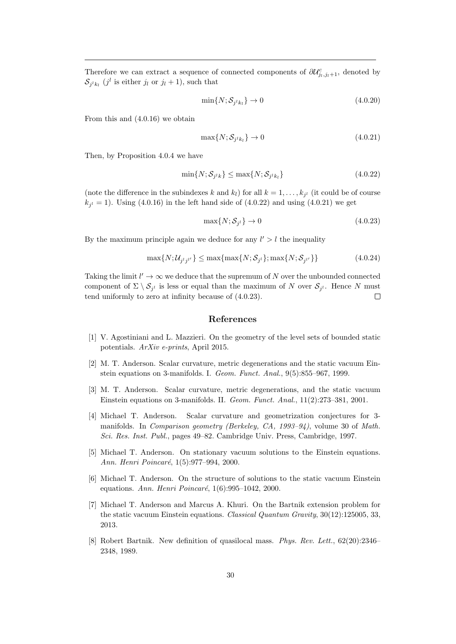Therefore we can extract a sequence of connected components of  $\partial \mathcal{U}_{j_l,j_l+1}^c$ , denoted by  $S_{j^lk_l}$  (j<sup>l</sup> is either j<sub>l</sub> or j<sub>l</sub> + 1), such that

$$
\min\{N; \mathcal{S}_{j^lk_l}\} \to 0\tag{4.0.20}
$$

From this and (4.0.16) we obtain

$$
\max\{N; \mathcal{S}_{j^lk_l}\} \to 0 \tag{4.0.21}
$$

Then, by Proposition 4.0.4 we have

$$
\min\{N; \mathcal{S}_{j^lk}\} \le \max\{N; \mathcal{S}_{j^lk_l}\}\tag{4.0.22}
$$

(note the difference in the subindexes k and  $k_l$ ) for all  $k = 1, \ldots, k_{j^l}$  (it could be of course  $k_{j}$  = 1). Using (4.0.16) in the left hand side of (4.0.22) and using (4.0.21) we get

$$
\max\{N; \mathcal{S}_{j^l}\} \to 0 \tag{4.0.23}
$$

By the maximum principle again we deduce for any  $l' > l$  the inequality

$$
\max\{N; \mathcal{U}_{j'j'}\} \le \max\{\max\{N; \mathcal{S}_{j'}\}; \max\{N; \mathcal{S}_{j'}\}\}\
$$
\n(4.0.24)

Taking the limit  $l' \to \infty$  we deduce that the supremum of N over the unbounded connected component of  $\Sigma \setminus \mathcal{S}_{j^l}$  is less or equal than the maximum of N over  $\mathcal{S}_{j^l}$ . Hence N must tend uniformly to zero at infinity because of (4.0.23).  $\Box$ 

### References

- [1] V. Agostiniani and L. Mazzieri. On the geometry of the level sets of bounded static potentials. ArXiv e-prints, April 2015.
- [2] M. T. Anderson. Scalar curvature, metric degenerations and the static vacuum Einstein equations on 3-manifolds. I. Geom. Funct. Anal., 9(5):855–967, 1999.
- [3] M. T. Anderson. Scalar curvature, metric degenerations, and the static vacuum Einstein equations on 3-manifolds. II. Geom. Funct. Anal., 11(2):273–381, 2001.
- [4] Michael T. Anderson. Scalar curvature and geometrization conjectures for 3 manifolds. In Comparison geometry (Berkeley, CA, 1993–94), volume 30 of Math. Sci. Res. Inst. Publ., pages 49–82. Cambridge Univ. Press, Cambridge, 1997.
- [5] Michael T. Anderson. On stationary vacuum solutions to the Einstein equations. Ann. Henri Poincaré, 1(5):977-994, 2000.
- [6] Michael T. Anderson. On the structure of solutions to the static vacuum Einstein equations. Ann. Henri Poincaré,  $1(6):995-1042$ , 2000.
- [7] Michael T. Anderson and Marcus A. Khuri. On the Bartnik extension problem for the static vacuum Einstein equations. *Classical Quantum Gravity*,  $30(12):125005, 33$ , 2013.
- [8] Robert Bartnik. New definition of quasilocal mass. Phys. Rev. Lett., 62(20):2346– 2348, 1989.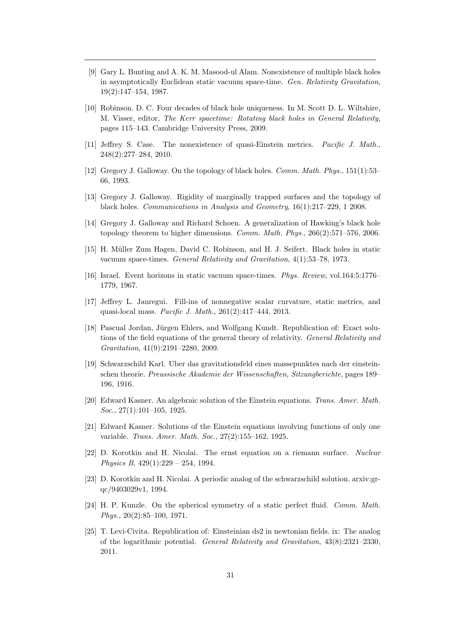- [9] Gary L. Bunting and A. K. M. Masood-ul Alam. Nonexistence of multiple black holes in asymptotically Euclidean static vacuum space-time. Gen. Relativity Gravitation, 19(2):147–154, 1987.
- [10] Robinson. D. C. Four decades of black hole uniqueness. In M. Scott D. L. Wiltshire, M. Visser, editor, The Kerr spacetime: Rotating black holes in General Relativity, pages 115–143. Cambridge University Press, 2009.
- [11] Jeffrey S. Case. The nonexistence of quasi-Einstein metrics. Pacific J. Math., 248(2):277–284, 2010.
- [12] Gregory J. Galloway. On the topology of black holes. Comm. Math. Phys., 151(1):53– 66, 1993.
- [13] Gregory J. Galloway. Rigidity of marginally trapped surfaces and the topology of black holes. Communications in Analysis and Geometry, 16(1):217–229, 1 2008.
- [14] Gregory J. Galloway and Richard Schoen. A generalization of Hawking's black hole topology theorem to higher dimensions. Comm. Math. Phys., 266(2):571–576, 2006.
- [15] H. M¨uller Zum Hagen, David C. Robinson, and H. J. Seifert. Black holes in static vacuum space-times. General Relativity and Gravitation, 4(1):53–78, 1973.
- [16] Israel. Event horizons in static vacuum space-times. Phys. Review, vol.164:5:1776– 1779, 1967.
- [17] Jeffrey L. Jauregui. Fill-ins of nonnegative scalar curvature, static metrics, and quasi-local mass. Pacific J. Math., 261(2):417–444, 2013.
- [18] Pascual Jordan, Jürgen Ehlers, and Wolfgang Kundt. Republication of: Exact solutions of the field equations of the general theory of relativity. General Relativity and Gravitation, 41(9):2191–2280, 2009.
- [19] Schwarzschild Karl. Uber das gravitationsfeld eines massepunktes nach der einsteinschen theorie. Preussische Akademie der Wissenschaften, Sitzungberichte, pages 189– 196, 1916.
- [20] Edward Kasner. An algebraic solution of the Einstein equations. Trans. Amer. Math. Soc., 27(1):101-105, 1925.
- [21] Edward Kasner. Solutions of the Einstein equations involving functions of only one variable. Trans. Amer. Math. Soc., 27(2):155–162, 1925.
- [22] D. Korotkin and H. Nicolai. The ernst equation on a riemann surface. Nuclear Physics B, 429(1):229 – 254, 1994.
- [23] D. Korotkin and H. Nicolai. A periodic analog of the schwarzschild solution. arxiv:grqc/9403029v1, 1994.
- [24] H. P. Kunzle. On the spherical symmetry of a static perfect fluid. Comm. Math. Phys., 20(2):85–100, 1971.
- [25] T. Levi-Civita. Republication of: Einsteinian ds2 in newtonian fields. ix: The analog of the logarithmic potential. General Relativity and Gravitation, 43(8):2321–2330, 2011.